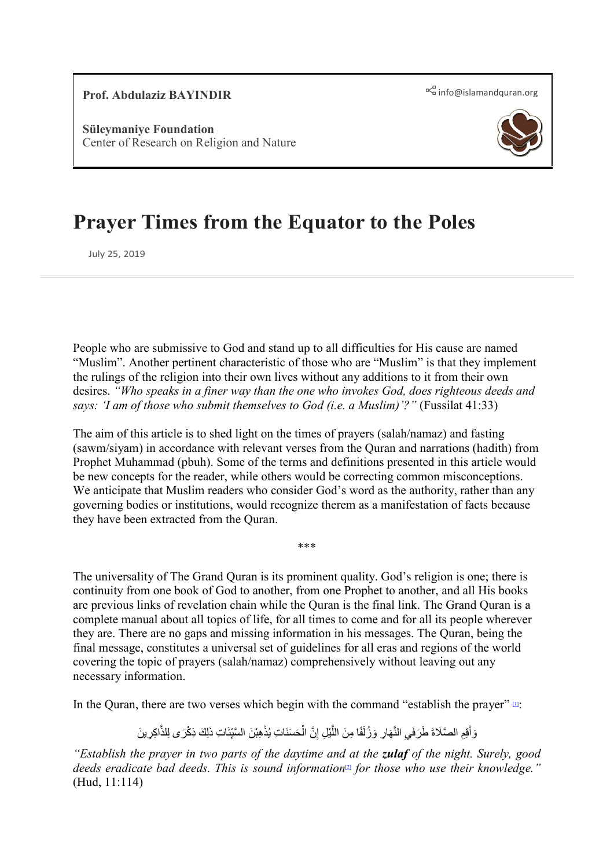**[Prof.](mailto:info@islamandquran.org)** Abdulaziz BAYINDIR **[info@islamandquran.org](mailto:info@islamandquran.org)**  $R^a$  info@islamandquran.org

**Süleymaniye Foundation** Center of Research on Religion and Nature



# **Prayer Times from the Equator to the Poles**

July 25, 2019

People who are submissive to God and stand up to all difficulties for His cause are named "Muslim". Another pertinent characteristic of those who are "Muslim" is that they implement the rulings of the religion into their own lives without any additions to it from their own desires. *"Who speaks in a finer way than the one who invokes God, does righteous deeds and says: 'I am of those who submit themselves to God (i.e. a Muslim)'?"* (Fussilat 41:33)

The aim of this article is to shed light on the times of prayers (salah/namaz) and fasting (sawm/siyam) in accordance with relevant verses from the Quran and narrations (hadith) from Prophet Muhammad (pbuh). Some of the terms and definitions presented in this article would be new concepts for the reader, while others would be correcting common misconceptions. We anticipate that Muslim readers who consider God's word as the authority, rather than any governing bodies or institutions, would recognize therem as a manifestation of facts because they have been extracted from the Quran.

\*\*\*

The universality of The Grand Quran is its prominent quality. God's religion is one; there is continuity from one book of God to another, from one Prophet to another, and all His books are previous links of revelation chain while the Quran is the final link. The Grand Quran is a complete manual about all topics of life, for all times to come and for all its people wherever they are. There are no gaps and missing information in his messages. The Quran, being the final message, constitutes a universal set of guidelines for all eras and regions of the world covering the topic of prayers (salah/namaz) comprehensively without leaving out any necessary information.

In the Quran, there are two verses which begin with the command "establish the prayer"  $\mathbb{u}$ :

<span id="page-0-0"></span>وَأَقِمِ الصَّلَاةَ طَرَفَي النَّهَارِ وَزُلَفًا مِنَ اللَّيْلِ إِنَّ الْحَسَنَاتِ يُذْهِبْنَ السَّيِّئَاتِ ذَلِكَ ذِكْرَى لِلذَّاكِرِينَ ِ ا<br>ا َّ

*"Establish the prayer in two parts of the daytime and at the zulaf of the night. Surely, good deeds eradicate bad deeds. This is sound information*[\[2\]](#page-39-1) *for those who use their knowledge."* (Hud, 11:114)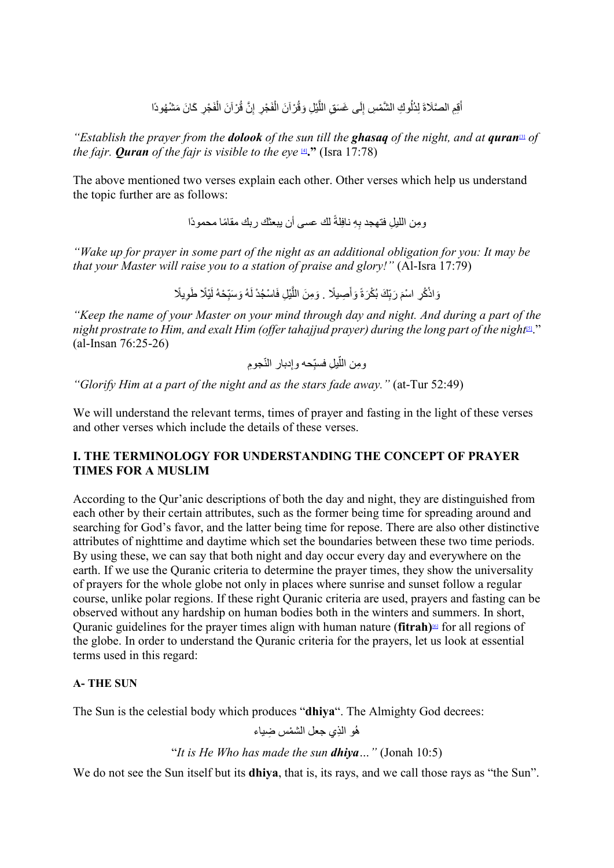أَقِمِ الصَّلَاةَ لِدُلُوكِ الشَّمْسِ إِلَى غَسَقِ اللَّيْلِ وَقُرْ آنَ الْفَجْرِ إِنَّ قُرْ آنَ الْفَجْرِ كَانَ مَشْهُودًا  $\frac{1}{2}$ ُ

*"Establish the prayer from the dolook of the sun till the ghasaq of the night, and at qura[n](#page-39-2)*[3] *of the fajr. Quran of the fajr is visible to the eye*  $\mathbb{L}$ ." (Isra 17:78)

The above mentioned two verses explain each other. Other verses which help us understand the topic further are as follows:

> <span id="page-1-1"></span><span id="page-1-0"></span>ًومِن اللَّيلِ فتهجد بِهِ نافِلَة لَكَ عسى أن يبعثك ربك مقامًا محمودًا

*"Wake up for prayer in some part of the night as an additional obligation for you: It may be that your Master will raise you to a station of praise and glory!"* (Al-Isra 17:79)

> َ وَاذْكُرِ اسْمَ رَبِّكَ بُكْرَةً وَأَصِيلًا . وَمِنَ اللَّيْلِ فَاسْجُدْ لَهُ وَسَبِّحْهُ لَيْلًا طَوِيلًا َ $\overline{\phantom{a}}$ ِ

*"Keep the name of your Master on your mind through day and night. And during a part of the*  night prostrate to Him, and exalt Him (offer tahajjud prayer) during the *long part of the night*<sup>[5]</sup>." (al-Insan 76:25-26)

ّ ِجوم ِدبار الن ّحھ وإ ِ ّ ِ یل فسب ِومن الل

*"Glorify Him at a part of the night and as the stars fade away."* (at-Tur 52:49)

We will understand the relevant terms, times of prayer and fasting in the light of these verses and other verses which include the details of these verses.

#### **I. THE TERMINOLOGY FOR UNDERSTANDING THE CONCEPT OF PRAYER TIMES FOR A MUSLIM**

According to the Qur'anic descriptions of both the day and night, they are distinguished from each other by their certain attributes, such as the former being time for spreading around and searching for God's favor, and the latter being time for repose. There are also other distinctive attributes of nighttime and daytime which set the boundaries between these two time periods. By using these, we can say that both night and day occur every day and everywhere on the earth. If we use the Quranic criteria to determine the prayer times, they show the universality of prayers for the whole globe not only in places where sunrise and sunset follow a regular course, unlike polar regions. If these right Quranic criteria are used, prayers and fasting can be observed without any hardship on human bodies both in the winters and summers. In short, Quranic guidelines for the prayer times align with human nature (**fitrah)**[\[6\]](#page-39-4) for all regions of the globe. In order to understand the Quranic criteria for the prayers, let us look at essential terms used in this regard:

#### **A- THE SUN**

The Sun is the celestial body which produces "**dhiya**". The Almighty God decrees:

<span id="page-1-2"></span>هُو الَّذِي جعل الشَّمْسِ ضَبِاءِ

# "*It is He Who has made the sun dhiya…"* (Jonah 10:5)

We do not see the Sun itself but its **dhiya**, that is, its rays, and we call those rays as "the Sun".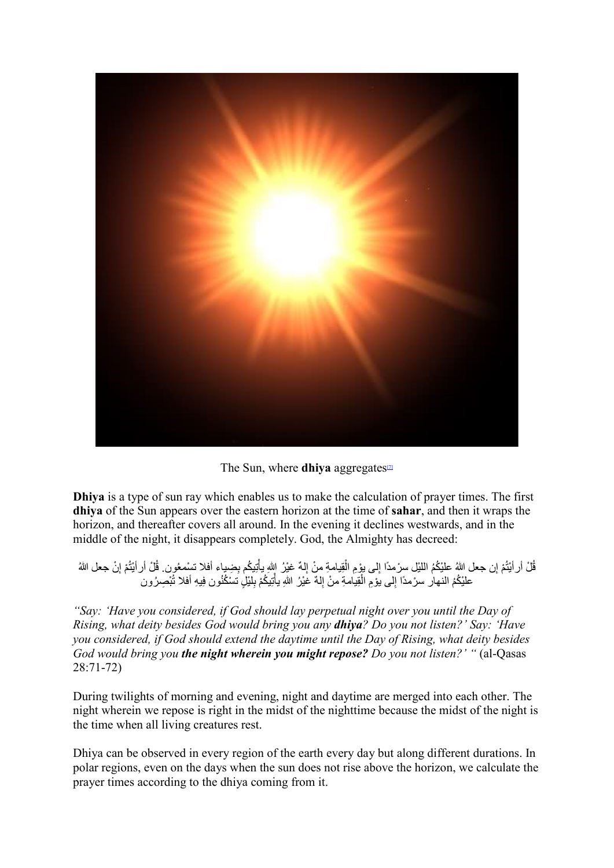

The Sun, where **dhiya** aggregates<sup>[7]</sup>

<span id="page-2-0"></span>**Dhiya** is a type of sun ray which enables us to make the calculation of prayer times. The first **dhiya** of the Sun appears over the eastern horizon at the time of **sahar**, and then it wraps the horizon, and thereafter covers all around. In the evening it declines westwards, and in the middle of the night, it disappears completely. God, the Almighty has decreed:

ُ قُلْ أر أَيْتُمْ إِن جعل اللهُ عليْكُمُ اللَّيْل سِرْمدًا إلى يؤمِ الْقِيامةِ منْ إِلَّهٌ غَيْرُ اللهِ بِأَتِيكُم بِضِيباء أفلا تسْمعُون. قُلْ أر أَيْتُمْ إِنْ جعل اللهُ ֦֧֦֧֦֓**֓** ٔ<br>ا ُ ُ علَيْكُمُ النـهار سـرْمدًا إِلـى يؤمِ الْقِيامةِ منْ إِلـهٌ غَيْرُ اللهِ يأتِيكُمْ بِلَيْلٍ تسْكُنُون فِيهِ أفلا تُبْصِرُون ֦֧֦֧֦֧֦֧֦֧֦֧֦֧֧֜֓֓<u>֓</u> ا<br>ا

*"Say: 'Have you considered, if God should lay perpetual night over you until the Day of Rising, what deity besides God would bring you any dhiya? Do you not listen?' Say: 'Have you considered, if God should extend the daytime until the Day of Rising, what deity besides God would bring you the night wherein you might repose? Do you not listen?' "* (al-Qasas 28:71-72)

During twilights of morning and evening, night and daytime are merged into each other. The night wherein we repose is right in the midst of the nighttime because the midst of the night is the time when all living creatures rest.

Dhiya can be observed in every region of the earth every day but along different durations. In polar regions, even on the days when the sun does not rise above the horizon, we calculate the prayer times according to the dhiya coming from it.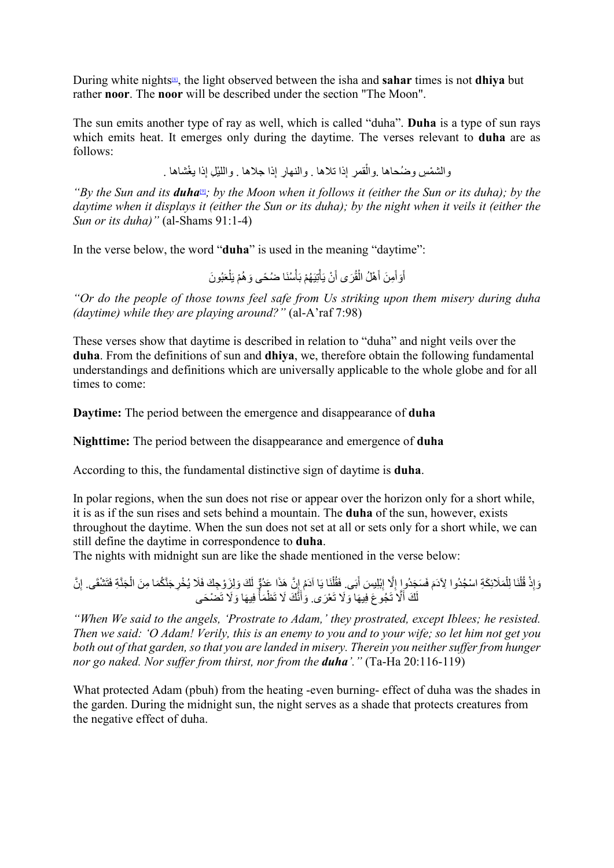During white night[s\[8\],](#page-39-6) the light observed between the isha and **sahar** times is not **dhiya** but rather **noor**. The **noor** will be described under the section "The Moon".

The sun emits another type of ray as well, which is called "duha". **Duha** is a type of sun rays which emits heat. It emerges only during the daytime. The verses relevant to **duha** are as follows:

> <span id="page-3-1"></span><span id="page-3-0"></span>والشمْسِ وضُحاها .والْقمرِ إِذا تلاها . والنهارِ إِذا جلاها . واللَّيْلِ إِذا يغْشاها . ا<br>ا

*"By the Sun and its <i>duha*"; by the Moon when it follows it (either the Sun or its duha); by the *daytime when it displays it (either the Sun or its duha); by the night when it veils it (either the Sun or its duha)"* (al-Shams 91:1-4)

In the verse below, the word "**duha**" is used in the meaning "daytime":

أَوَأَمِنَ أَهْلُ الْقُرَى أَنْ يَأْتِيَهُمْ بَأْسُنَا ضُحًى وَهُمْ يَلْعَبُونَ  $\overline{1}$ ؚ<br>ا ֖֖֧֦֧֦֧֦֧֦֧֧֪֦֧֪֦֧֚֡֓֓֓֓֓֓֓֓֓֓֓֓֓֓֓֓֓֜֓֓֓֬֓֓֓֓֓֓֓֓֓֓֓֡֬֓֓֓֬֓֓֓֓֬֓֓֬֬ ؘُ<br>ا

*"Or do the people of those towns feel safe from Us striking upon them misery during duha (daytime) while they are playing around?"* (al-A'raf 7:98)

These verses show that daytime is described in relation to "duha" and night veils over the **duha**. From the definitions of sun and **dhiya**, we, therefore obtain the following fundamental understandings and definitions which are universally applicable to the whole globe and for all times to come:

**Daytime:** The period between the emergence and disappearance of **duha**

**Nighttime:** The period between the disappearance and emergence of **duha**

According to this, the fundamental distinctive sign of daytime is **duha**.

In polar regions, when the sun does not rise or appear over the horizon only for a short while, it is as if the sun rises and sets behind a mountain. The **duha** of the sun, however, exists throughout the daytime. When the sun does not set at all or sets only for a short while, we can still define the daytime in correspondence to **duha**.

The nights with midnight sun are like the shade mentioned in the verse below:

```
وَإِذْ قُلْنَا لِلْمَلَائِكَةِ اسْجُدُوا لِآدَمَ فَسَجَدُواٍ إِلَّا إِبْلِيسَ أَبَى. فَقُلْنَا يَا آدَمُ إِنَّ هَذَا عَدُوٌّ لَكَ وَلِزَوْجِكَ فَلَا يُخْرِجَنَّكُمَا مِنَ الْجَذَّةِ فَتَشْقَى. إِنَّ
                                                                                                                                          \ddot{\phantom{a}}ؚ<br>ا
                                                                                                                                                                                                     ُْل
              ֦֧<u>֓</u>
                                                                                                             ُل
                                             لَكَ أَلَّا تَجُوعَ فِيهَا وَلَا تَعْرَى. وَأَنَّكَ لَا تَظْمَأْ فِيهَا وَلَا تَضْحَى
```
*"When We said to the angels, 'Prostrate to Adam,' they prostrated, except Iblees; he resisted. Then we said: 'O Adam! Verily, this is an enemy to you and to your wife; so let him not get you both out of that garden, so that you are landed in misery. Therein you neither suffer from hunger nor go naked. Nor suffer from thirst, nor from the duha'."* (Ta-Ha 20:116-119)

What protected Adam (pbuh) from the heating -even burning- effect of duha was the shades in the garden. During the midnight sun, the night serves as a shade that protects creatures from the negative effect of duha.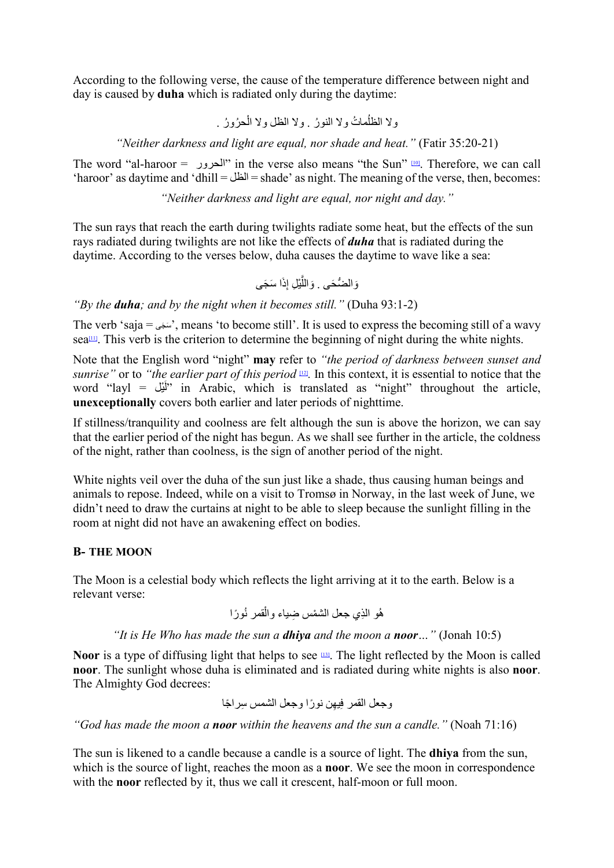According to the following verse, the cause of the temperature difference between night and day is caused by **duha** which is radiated only during the daytime:

ولا الظلُّماتُ ولا الله نُ ولا الظل ولا الْحرُورُ .

*"Neither darkness and light are equal, nor shade and heat."* (Fatir 35:20-21)

The word "al-haroor =  $\blacksquare$ " in the verse also means "the Sun"  $\blacksquare$ . Therefore, we can call 'haroor' as daytime and 'dhill = الظل = shade' as night. The meaning of the verse, then, becomes:

*"Neither darkness and light are equal, nor night and day."* 

The sun rays that reach the earth during twilights radiate some heat, but the effects of the sun rays radiated during twilights are not like the effects of *duha* that is radiated during the daytime. According to the verses below, duha causes the daytime to wave like a sea:

<span id="page-4-2"></span><span id="page-4-0"></span>وَالضُّحَى . وَاللَّيْلِ إِذَا سَجَى

*"By the duha; and by the night when it becomes still."* (Duha 93:1-2)

<span id="page-4-1"></span>The verb 'saja =  $\omega$ , means 'to become still'. It is used to express the becoming still of a wavy sea $\mu$ . This verb is the criterion to determine the beginning of night during the white nights.

Note that the English word "night" **may** refer to *"the period of darkness between sunset and sunrise"* or to *"the earlier part of this period* [\[12\]](#page-39-10)*.* In this context, it is essential to notice that the word "layl = "أَلَمْك" in Arabic, which is translated as "night" throughout the article, **unexceptionally** covers both earlier and later periods of nighttime.

If stillness/tranquility and coolness are felt although the sun is above the horizon, we can say that the earlier period of the night has begun. As we shall see further in the article, the coldness of the night, rather than coolness, is the sign of another period of the night.

White nights veil over the duha of the sun just like a shade, thus causing human beings and animals to repose. Indeed, while on a visit to Tromsø in Norway, in the last week of June, we didn't need to draw the curtains at night to be able to sleep because the sunlight filling in the room at night did not have an awakening effect on bodies.

#### **B- THE MOON**

The Moon is a celestial body which reflects the light arriving at it to the earth. Below is a relevant verse:

<span id="page-4-3"></span>ُ ًورا ْقمر ن ُھ ِ و الذ ْ ي جعل الشم ِس ضیاء وال

#### *"It is He Who has made the sun a dhiya and the moon a noor…"* (Jonah 10:5)

Noor is a type of diffusing light that helps to see **133**. The light reflected by the Moon is called **noor**. The sunlight whose duha is eliminated and is radiated during white nights is also **noor**. The Almighty God decrees:

ِ ِ ل الشمس س ً راجا ِیھ ً ن نورا وجع وجعل القمر ف

*"God has made the moon a noor within the heavens and the sun a candle."* (Noah 71:16)

The sun is likened to a candle because a candle is a source of light. The **dhiya** from the sun, which is the source of light, reaches the moon as a **noor**. We see the moon in correspondence with the **noor** reflected by it, thus we call it crescent, half-moon or full moon.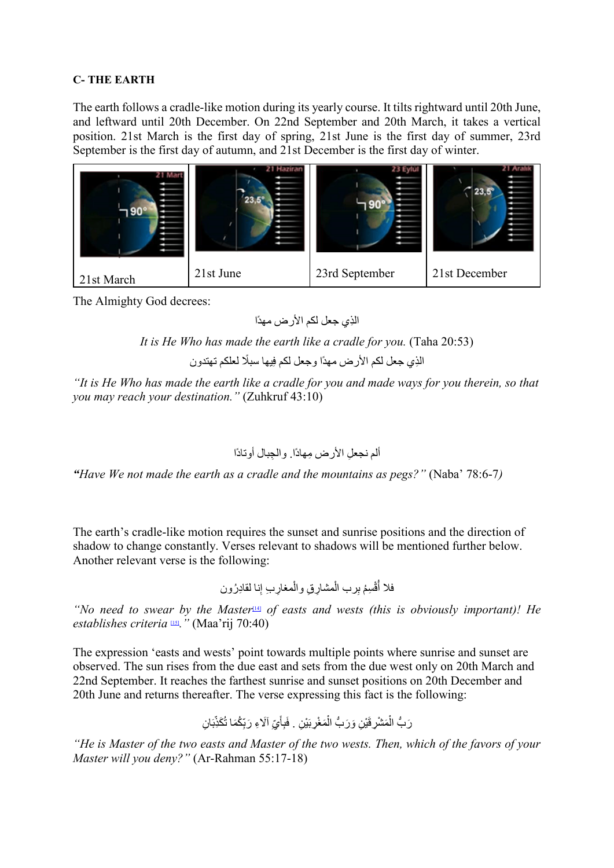#### **C- THE EARTH**

The earth follows a cradle-like motion during its yearly course. It tilts rightward until 20th June, and leftward until 20th December. On 22nd September and 20th March, it takes a vertical position. 21st March is the first day of spring, 21st June is the first day of summer, 23rd September is the first day of autumn, and 21st December is the first day of winter.



The Almighty God decrees:

ِ الذي جعل لكم الأرض مھدًا

*It is He Who has made the earth like a cradle for you.* (Taha 20:53)

الذِي جعل لكم الأرض مهدًا وجعل لكم فِيها سبلًا لعلكم تهتدون

*"It is He Who has made the earth like a cradle for you and made ways for you therein, so that you may reach your destination."* (Zuhkruf 43:10)

ِ ألم نجعل ِ الأرض مھادً ِ ا. والجبال أوتادًا

*"Have We not made the earth as a cradle and the mountains as pegs?"* (Naba' 78:6-7*)*

The earth's cradle-like motion requires the sunset and sunrise positions and the direction of shadow to change constantly. Verses relevant to shadows will be mentioned further below. Another relevant verse is the following:

> <span id="page-5-1"></span><span id="page-5-0"></span>فلا أُقْسِمُ بِرب الْمشارِقِ والْمغارِبِ إِنا لقادِرُون ا<br>ا ا<br>ا ُ

*"No need to swear by the Master*<sup>[\[14\]](#page-40-1)</sup> *of easts and wests (this is obviously important)! He establishes criteria* [\[15\]](#page-40-2)*."* (Maa'rij 70:40)

The expression 'easts and wests' point towards multiple points where sunrise and sunset are observed. The sun rises from the due east and sets from the due west only on 20th March and 22nd September. It reaches the farthest sunrise and sunset positions on 20th December and 20th June and returns thereafter. The verse expressing this fact is the following:

َ ْی ِن َم ْغِرب ْ و َر ُّب ال َ ْی ِن َ َم ْشِرق ْ ان . َر ُّب ال ِ َ ّب ُ َكِذ ّ ُكَما ت ِ ِ َ آلاِء َ رب َ ّي ِأ َفب

*"He is Master of the two easts and Master of the two wests. Then, which of the favors of your Master will you deny?"* (Ar-Rahman 55:17-18)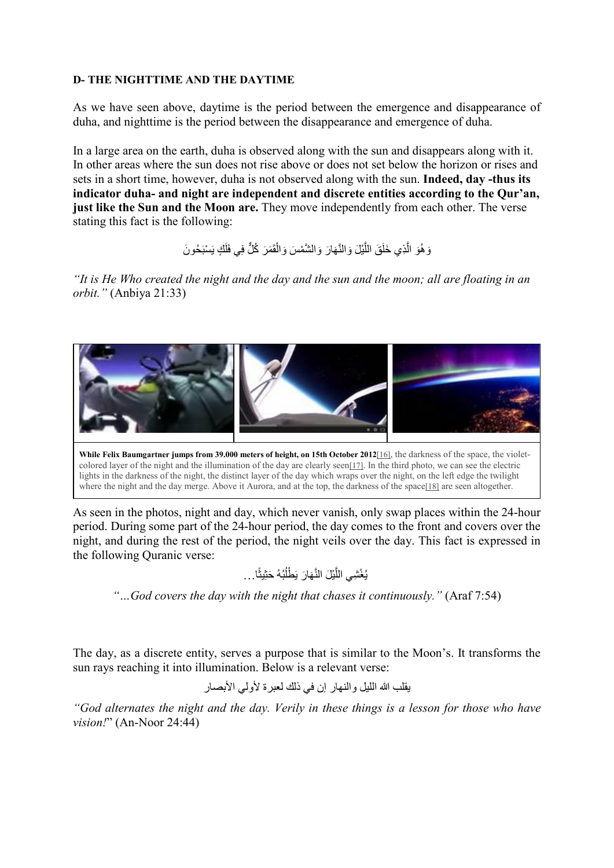#### **D- THE NIGHTTIME AND THE DAYTIME**

As we have seen above, daytime is the period between the emergence and disappearance of duha, and nighttime is the period between the disappearance and emergence of duha.

In a large area on the earth, duha is observed along with the sun and disappears along with it. In other areas where the sun does not rise above or does not set below the horizon or rises and sets in a short time, however, duha is not observed along with the sun. **Indeed, day -thus its indicator duha- and night are independent and discrete entities according to the Qur'an, just like the Sun and the Moon are.** They move independently from each other. The verse stating this fact is the following:

> وَ هُوَ الَّذِي خَلَقَ اللَّيْلَ وَالنَّهَارَ وَالشَّمْسَ وَالْقَمَرَ كُلٌّ فِي فَلَكٍ يَسْبَحُونَ ََّل ؚ<br>ا

*"It is He Who created the night and the day and the sun and the moon; all are floating in an orbit."* (Anbiya 21:33)



colored layer of the night and the illumination of the day are clearly see[n\[17\].](#page-40-4) In the third photo, we can see the electric lights in the darkness of the night, the distinct layer of the day which wraps over the night, on the left edge the twilight where the night and the day merge. Above it Aurora, and at the top, the darkness of the spac[e\[18\]](#page-40-5) are seen altogether.

As seen in the photos, night and day, which never vanish, only swap places within the 24-hour period. During some part of the 24-hour period, the day comes to the front and covers over the night, and during the rest of the period, the night veils over the day. This fact is expressed in the following Quranic verse:

<span id="page-6-2"></span><span id="page-6-1"></span><span id="page-6-0"></span>ًا... ِیث ُھُ َ حث ُب َ ْطل َّ َھ َار ی َّ ْی َل الن ُ ْغ ِشي الل ی

*"…God covers the day with the night that chases it continuously."* (Araf 7:54)

The day, as a discrete entity, serves a purpose that is similar to the Moon's. It transforms the sun rays reaching it into illumination. Below is a relevant verse:

یقلب الله اللیل والنھار إن في ذلك لعبرة لأولي الأبصار

*"God alternates the night and the day. Verily in these things is a lesson for those who have vision!*" (An-Noor 24:44)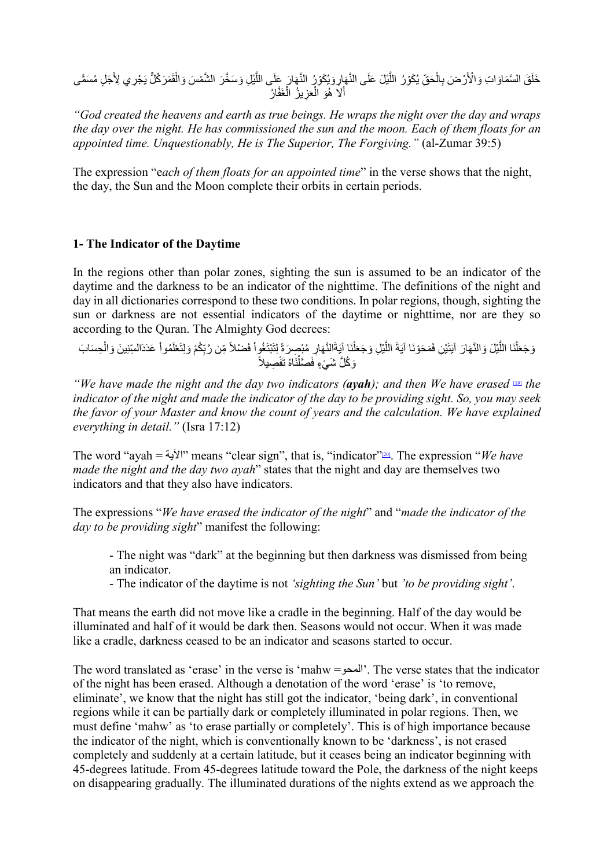ؚ<br>ا خَلَقَ السَّمَاوَاتِ وَالْأَرْضَ بِالْحَقِّ يُكَوِّرُ اللَّيْلَ عَلَى النَّهَارِ وَيُكَوِّرُ النَّهَارَ عَلَى اللَّيْلِ وَسَخَّرَ الشَّمْسَ وَالْقَمَرَكُلِّ يَجْرِي لِأَجَلٍ مُسَمًّى ؚ<br>ز َ:<br>ا ََّّأَلَا هُوَ اَلْعَزِيزُ الْغَفَّارُ

*"God created the heavens and earth as true beings. He wraps the night over the day and wraps the day over the night. He has commissioned the sun and the moon. Each of them floats for an appointed time. Unquestionably, He is The Superior, The Forgiving."* (al-Zumar 39:5)

The expression "e*ach of them floats for an appointed time*" in the verse shows that the night, the day, the Sun and the Moon complete their orbits in certain periods.

#### **1- The Indicator of the Daytime**

In the regions other than polar zones, sighting the sun is assumed to be an indicator of the daytime and the darkness to be an indicator of the nighttime. The definitions of the night and day in all dictionaries correspond to these two conditions. In polar regions, though, sighting the sun or darkness are not essential indicators of the daytime or nighttime, nor are they so according to the Quran. The Almighty God decrees:

<span id="page-7-0"></span>ْ وَجَعَلْنَا اللَّيْلَ وَالنَّهَارَ آيَتَيْنِ فَمَحَوْنَا آيَةَ اللَّيْلِ وَجَعَلْنَا آيَةَالنَّهَارِ مُبْصِرَةً لِتَبْتَغُواْ فَضْلاً مِّن رَّبِّكُمْ وَلِتَعْلَمُواْ عَدَدَالسِّنِينَ وَالْحِسَابَ<br>وَكُلَّ شَيْءٍ فَصَّلْنَا َّ $\mathbf{r}$ ََّا<br>ا ֦֧<u>֓</u> ا<br>ا َِ

*"We have made the night and the day two indicators (ayah); and then We have erased* [\[19\]](#page-40-6) *the indicator of the night and made the indicator of the day to be providing sight. So, you may seek the favor of your Master and know the count of years and the calculation. We have explained everything in detail."* (Isra 17:12)

The word "ayah = الآیة "means "clear sign", that is, "indicator["\[20\].](#page-40-7) The expression "*We have made the night and the day two ayah*" states that the night and day are themselves two indicators and that they also have indicators.

The expressions "*We have erased the indicator of the night*" and "*made the indicator of the day to be providing sight*" manifest the following:

<span id="page-7-1"></span>- The night was "dark" at the beginning but then darkness was dismissed from being an indicator.

- The indicator of the daytime is not *'sighting the Sun'* but *'to be providing sight'*.

That means the earth did not move like a cradle in the beginning. Half of the day would be illuminated and half of it would be dark then. Seasons would not occur. When it was made like a cradle, darkness ceased to be an indicator and seasons started to occur.

The word translated as 'erase' in the verse is 'mahw =المحو'. The verse states that the indicator of the night has been erased. Although a denotation of the word 'erase' is 'to remove, eliminate', we know that the night has still got the indicator, 'being dark', in conventional regions while it can be partially dark or completely illuminated in polar regions. Then, we must define 'mahw' as 'to erase partially or completely'. This is of high importance because the indicator of the night, which is conventionally known to be 'darkness', is not erased completely and suddenly at a certain latitude, but it ceases being an indicator beginning with 45-degrees latitude. From 45-degrees latitude toward the Pole, the darkness of the night keeps on disappearing gradually. The illuminated durations of the nights extend as we approach the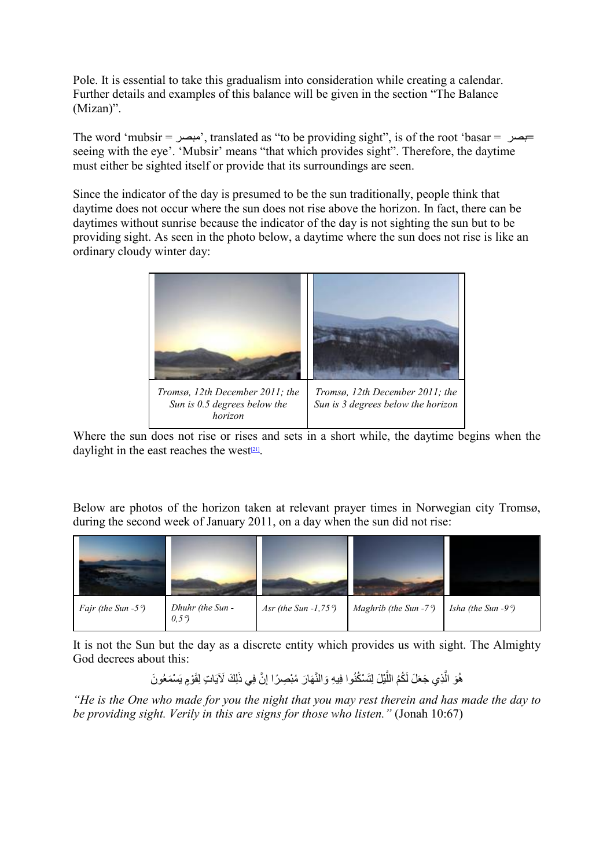Pole. It is essential to take this gradualism into consideration while creating a calendar. Further details and examples of this balance will be given in the section "The Balance (Mizan)".

The word 'mubsir = مبصر', translated as "to be providing sight", is of the root 'basar = بصر **=** seeing with the eye'. 'Mubsir' means "that which provides sight". Therefore, the daytime must either be sighted itself or provide that its surroundings are seen.

Since the indicator of the day is presumed to be the sun traditionally, people think that daytime does not occur where the sun does not rise above the horizon. In fact, there can be daytimes without sunrise because the indicator of the day is not sighting the sun but to be providing sight. As seen in the photo below, a daytime where the sun does not rise is like an ordinary cloudy winter day:



<span id="page-8-0"></span>Where the sun does not rise or rises and sets in a short while, the daytime begins when the daylight in the east reaches the west $(21)$ .

Below are photos of the horizon taken at relevant prayer times in Norwegian city Tromsø, during the second week of January 2011, on a day when the sun did not rise:



It is not the Sun but the day as a discrete entity which provides us with sight. The Almighty God decrees about this:

> ُ هُوَ الَّذِي جَعَلَ لَكُمُ اللَّيْلَ لِتَسْكُنُوا فِيهِ وَالنَّهَارَ مُبْصِرًا إِنَّ فِي ذَلِكَ لَآيَاتٍ لِقَوْمٍ يَسْمَعُونَ َّ

*"He is the One who made for you the night that you may rest therein and has made the day to be providing sight. Verily in this are signs for those who listen."* (Jonah 10:67)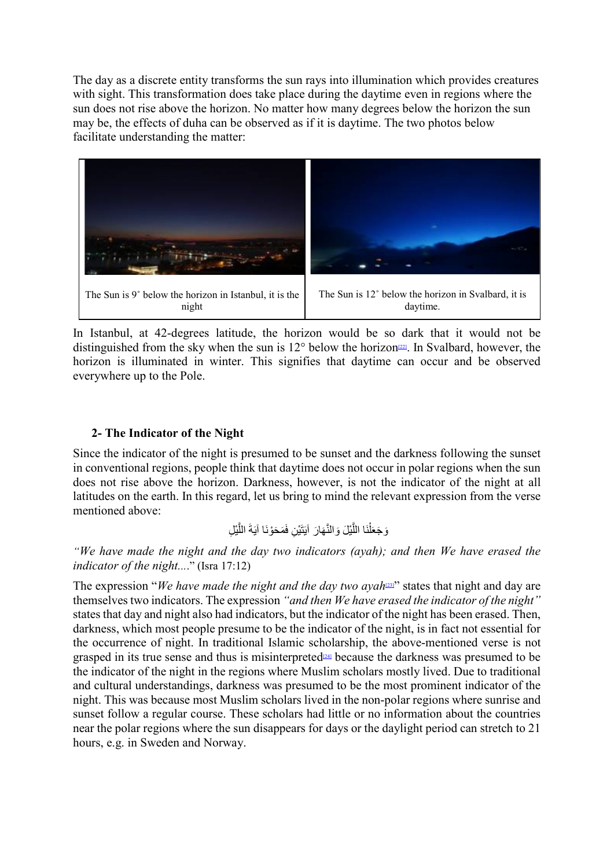The day as a discrete entity transforms the sun rays into illumination which provides creatures with sight. This transformation does take place during the daytime even in regions where the sun does not rise above the horizon. No matter how many degrees below the horizon the sun may be, the effects of duha can be observed as if it is daytime. The two photos below facilitate understanding the matter:



In Istanbul, at 42-degrees latitude, the horizon would be so dark that it would not be distinguished from the sky when the sun is  $12^{\circ}$  below the horizon<sup>[22]</sup>. In Svalbard, however, the horizon is illuminated in winter. This signifies that daytime can occur and be observed everywhere up to the Pole.

#### **2- The Indicator of the Night**

Since the indicator of the night is presumed to be sunset and the darkness following the sunset in conventional regions, people think that daytime does not occur in polar regions when the sun does not rise above the horizon. Darkness, however, is not the indicator of the night at all latitudes on the earth. In this regard, let us bring to mind the relevant expression from the verse mentioned above:

<span id="page-9-2"></span><span id="page-9-1"></span><span id="page-9-0"></span>َّ ْی ِل َ الل َة َ َم َحْونَا آی َْی ِن ف َت َّ َھ َار آی والن َّ ْی َل َ ْنَا الل َل َو َجع

*"We have made the night and the day two indicators (ayah); and then We have erased the indicator of the night....*" (Isra 17:12)

The expression "*We have made the night and the day two ayah*<sup>[23]</sup>" states that night and day are themselves two indicators. The expression *"and then We have erased the indicator of the night"*  states that day and night also had indicators, but the indicator of the night has been erased. Then, darkness, which most people presume to be the indicator of the night, is in fact not essential for the occurrence of night. In traditional Islamic scholarship, the above-mentioned verse is not grasped in its true sense and thus is misinterpreted<sup>[24]</sup> because the darkness was presumed to be the indicator of the night in the regions where Muslim scholars mostly lived. Due to traditional and cultural understandings, darkness was presumed to be the most prominent indicator of the night. This was because most Muslim scholars lived in the non-polar regions where sunrise and sunset follow a regular course. These scholars had little or no information about the countries near the polar regions where the sun disappears for days or the daylight period can stretch to 21 hours, e.g. in Sweden and Norway.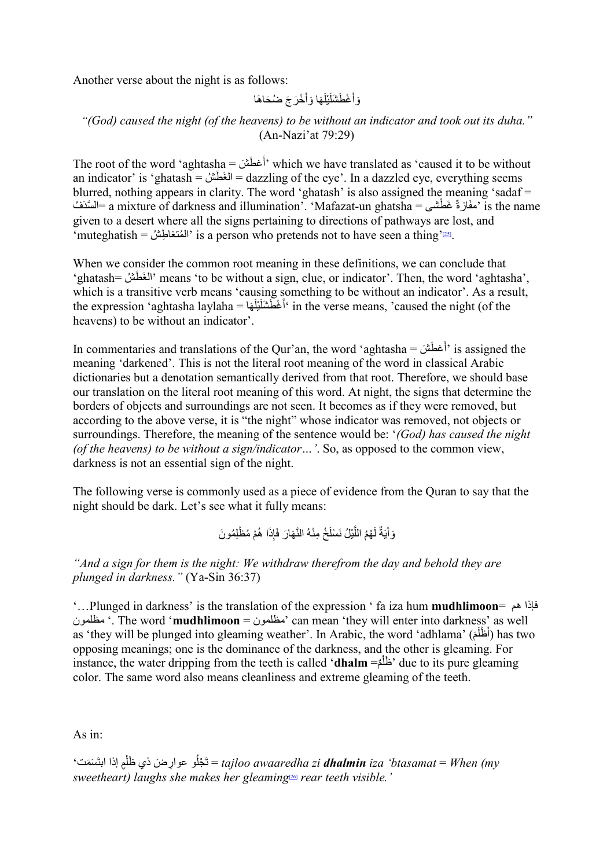Another verse about the night is as follows:

<span id="page-10-0"></span>َ ْخ َر ا وأ َ َھ َ َ ْیل َ ْغ َطشَل َج ُ ض َح َ اھا َوأ

#### *"(God) caused the night (of the heavens) to be without an indicator and took out its duha."* (An-Nazi'at 79:29)

The root of the word 'aghtasha = أَغطَشَ) which we have translated as 'caused it to be without an indicator' is 'ghatash = الغَطَش = dazzling of the eye'. In a dazzled eye, everything seems blurred, nothing appears in clarity. The word 'ghatash' is also assigned the meaning 'sadaf = السَّدَفُ = a mixture of darkness and illumination'. 'Mafazat-un ghatsha = المسَّدَفُ = a mixture of darkness and illumination'. 'Mafazat-un ghatsha given to a desert where all the signs pertaining to directions of pathways are lost, and  $\lq$ 'muteghatish = المُنغاطِشُ ' is a person who pretends not to have seen a thing'

When we consider the common root meaning in these definitions, we can conclude that 'ghatash= شُ طَ َالغ 'means 'to be without a sign, clue, or indicator'. Then, the word 'aghtasha', which is a transitive verb means 'causing something to be without an indicator'. As a result, the expression 'aghtasha laylaha = ھاَ َ َ ْیل َ ْغ َطشَل أ 'in the verse means, 'caused the night (of the heavens) to be without an indicator'.

In commentaries and translations of the Qur'an, the word 'aghtasha = أغطَشَ) is assigned the meaning 'darkened'. This is not the literal root meaning of the word in classical Arabic dictionaries but a denotation semantically derived from that root. Therefore, we should base our translation on the literal root meaning of this word. At night, the signs that determine the borders of objects and surroundings are not seen. It becomes as if they were removed, but according to the above verse, it is "the night" whose indicator was removed, not objects or surroundings. Therefore, the meaning of the sentence would be: '*(God) has caused the night (of the heavens) to be without a sign/indicator…'*. So, as opposed to the common view, darkness is not an essential sign of the night.

The following verse is commonly used as a piece of evidence from the Quran to say that the night should be dark. Let's see what it fully means:

> وَ أَيَةٌ لَهُمُ اللَّيْلُ نَسْلَخُ مِنْهُ النَّهَارَ فَإِذَا هُمْ مُظْلِمُونَ ََّ

*"And a sign for them is the night: We withdraw therefrom the day and behold they are plunged in darkness."* (Ya-Sin 36:37)

'…Plunged in darkness' is the translation of the expression ' fa iza hum **mudhlimoon**= ھم فإذا مظلمون' . The word '**mudhlimoon** = مظلمون 'can mean 'they will enter into darkness' as well as 'they will be plunged into gleaming weather'. In Arabic, the word 'adhlama' (أَظْلَمَ) has two opposing meanings; one is the dominance of the darkness, and the other is gleaming. For instance, the water dripping from the teeth is called '**dhalm** =مُظَلِّمٌ<sup>2</sup>' due to its pure gleaming ؚ<br>ׇ֡֡֟ color. The same word also means cleanliness and extreme gleaming of the teeth.

As in:

<span id="page-10-1"></span>َ ْجل ت ُ ِ و عوار َض ذ ' َ َس َم ت ٍم إذا ابت ظل ي َ = *tajloo awaaredha zi dhalmin iza 'btasamat* = *When (my*  ا<br>ا *sweetheart) laughs she makes her gleaming*[\[26\]](#page-42-1) *rear teeth visible.'*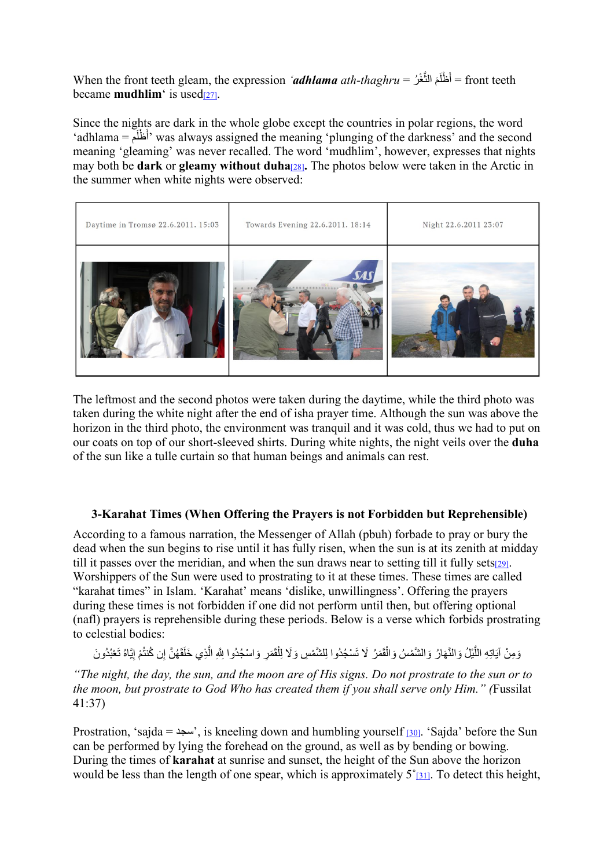<span id="page-11-0"></span>When the front teeth gleam, the expression *'adhlama ath-thaghru* = أَظْلَمَ النَّغْرُ = front teeth became **mudhlim** is use[d\[27\].](#page-42-2)

<span id="page-11-1"></span>Since the nights are dark in the whole globe except the countries in polar regions, the word 'adhlama = أَظْلَم<sup>'</sup> was always assigned the meaning 'plunging of the darkness' and the second meaning 'gleaming' was never recalled. The word 'mudhlim', however, expresses that nights may both be **dark** or **gleamy without duha**[\[28\]](#page-42-3). The photos below were taken in the Arctic in the summer when white nights were observed:



The leftmost and the second photos were taken during the daytime, while the third photo was taken during the white night after the end of isha prayer time. Although the sun was above the horizon in the third photo, the environment was tranquil and it was cold, thus we had to put on our coats on top of our short-sleeved shirts. During white nights, the night veils over the **duha** of the sun like a tulle curtain so that human beings and animals can rest.

#### <span id="page-11-2"></span>**3-Karahat Times (When Offering the Prayers is not Forbidden but Reprehensible)**

According to a famous narration, the Messenger of Allah (pbuh) forbade to pray or bury the dead when the sun begins to rise until it has fully risen, when the sun is at its zenith at midday till it passes over the meridian, and when the sun draws near to setting till it fully set[s\[29\].](#page-42-4) Worshippers of the Sun were used to prostrating to it at these times. These times are called "karahat times" in Islam. 'Karahat' means 'dislike, unwillingness'. Offering the prayers during these times is not forbidden if one did not perform until then, but offering optional (nafl) prayers is reprehensible during these periods. Below is a verse which forbids prostrating to celestial bodies:

<span id="page-11-4"></span><span id="page-11-3"></span>وَمِنْ آيَاتِهِ اللَّذِلُ وَالنَّهَارُ وَالشَّمْسُ وَالْقَمَرُ لَا تَسْجُدُوا لِلشَّمْسِ وَلَا لِلْقَمَرِ وَاسْجُدُوا لِلَّهِ الَّذِي خَلَقَهُنَّ إِن كُنتُمْ إِيَّاهُ تَعْبُدُونَ ؚ<br>ا َُّ

*"The night, the day, the sun, and the moon are of His signs. Do not prostrate to the sun or to the moon, but prostrate to God Who has created them if you shall serve only Him." (*Fussilat 41:37)

Prostration, 'sajda =  $\mu$ ', is kneeling down and humbling yourself [\[30\].](#page-42-5) 'Sajda' before the Sun can be performed by lying the forehead on the ground, as well as by bending or bowing. During the times of **karahat** at sunrise and sunset, the height of the Sun above the horizon would be less than the length of one spear, which is approximately  $5^{\circ}_{[31]}$ . To detect this height,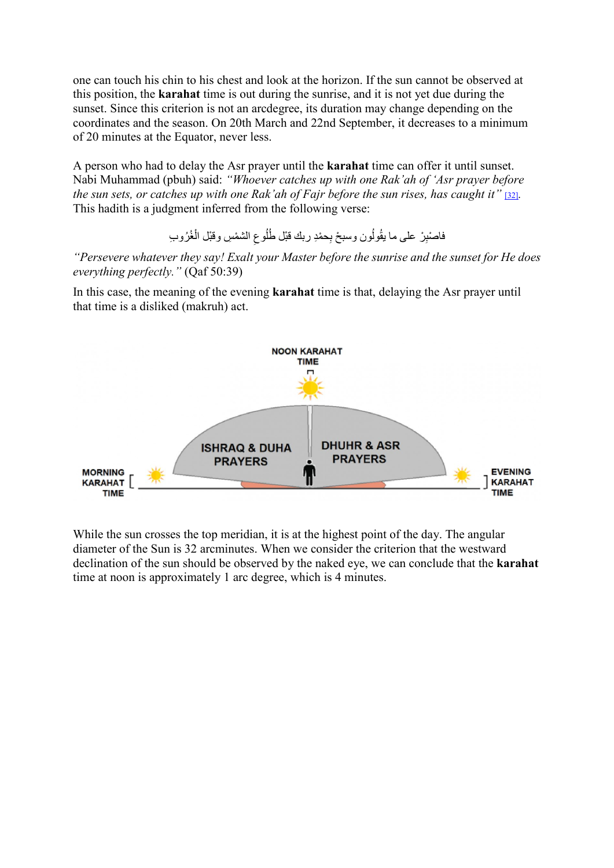one can touch his chin to his chest and look at the horizon. If the sun cannot be observed at this position, the **karahat** time is out during the sunrise, and it is not yet due during the sunset. Since this criterion is not an arcdegree, its duration may change depending on the coordinates and the season. On 20th March and 22nd September, it decreases to a minimum of 20 minutes at the Equator, never less.

A person who had to delay the Asr prayer until the **karahat** time can offer it until sunset. Nabi Muhammad (pbuh) said: *"Whoever catches up with one Rak'ah of 'Asr prayer before the sun sets, or catches up with one Rak'ah of Fajr before the sun rises, has caught it"* [\[32\]](#page-42-7). This hadith is a judgment inferred from the following verse:

> <span id="page-12-0"></span>فاصْنِرْ على ما يقُولُون وسبحْ بِحمْدِ ربك قبْل طُلُوعِ الشَّمْسِ وقبْل الْغُرُوبِ ُ

*"Persevere whatever they say! Exalt your Master before the sunrise and the sunset for He does everything perfectly."* (Qaf 50:39)

In this case, the meaning of the evening **karahat** time is that, delaying the Asr prayer until that time is a disliked (makruh) act.



While the sun crosses the top meridian, it is at the highest point of the day. The angular diameter of the Sun is 32 arcminutes. When we consider the criterion that the westward declination of the sun should be observed by the naked eye, we can conclude that the **karahat** time at noon is approximately 1 arc degree, which is 4 minutes.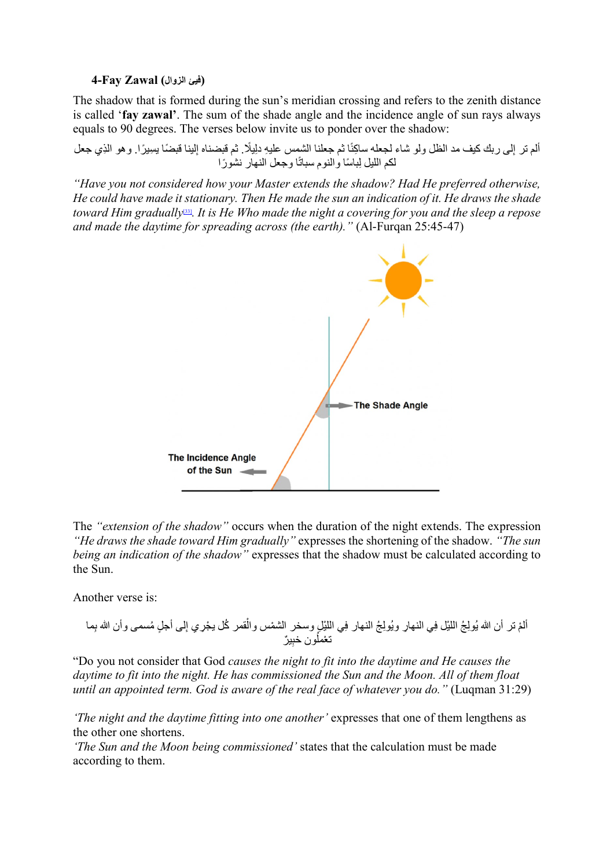#### **(فیئ الزوال) Zawal Fay4-**

The shadow that is formed during the sun's meridian crossing and refers to the zenith distance is called '**fay zawal'**. The sum of the shade angle and the incidence angle of sun rays always equals to 90 degrees. The verses below invite us to ponder over the shadow:

ألم تر إلى ربك كيف مد الظل ولو شاء لجعله ساكِنًا ثم جعلنا الشَمِس عليهِ دلِيلًا ثم قبضناه إلينا قبضًا بسِيرًا. وهو الذِي جعل لكم الليل لِباسًا والنوم سباتًا وجعل النهار نشورًا

*"Have you not considered how your Master extends the shadow? Had He preferred otherwise, He could have made it stationary. Then He made the sun an indication of it. He draws the shade toward Him gradually*[\[33\]](#page-42-8)*. It is He Who made the night a covering for you and the sleep a repose and made the daytime for spreading across (the earth)."* (Al-Furqan 25:45-47)

<span id="page-13-0"></span>

The *"extension of the shadow"* occurs when the duration of the night extends. The expression *"He draws the shade toward Him gradually"* expresses the shortening of the shadow. *"The sun being an indication of the shadow"* expresses that the shadow must be calculated according to the Sun.

Another verse is:

ِ ٍ لى أجل ُ مسمى وأن الله ْ ُ قمر ك ْ ل یجِري إ ِ ْ ي اللی ِل ْ وسخر الشمس وال ُ ِول ُج النھار ف ِ ِ ي النھار وی ُ ِول ُج ْ اللیل ف ِما ْ ألم تر أن الله ی ب ِ ٌیر ُون خب ْ تعمل

"Do you not consider that God *causes the night to fit into the daytime and He causes the daytime to fit into the night. He has commissioned the Sun and the Moon. All of them float until an appointed term. God is aware of the real face of whatever you do."* (Luqman 31:29)

*'The night and the daytime fitting into one another'* expresses that one of them lengthens as the other one shortens.

*'The Sun and the Moon being commissioned'* states that the calculation must be made according to them.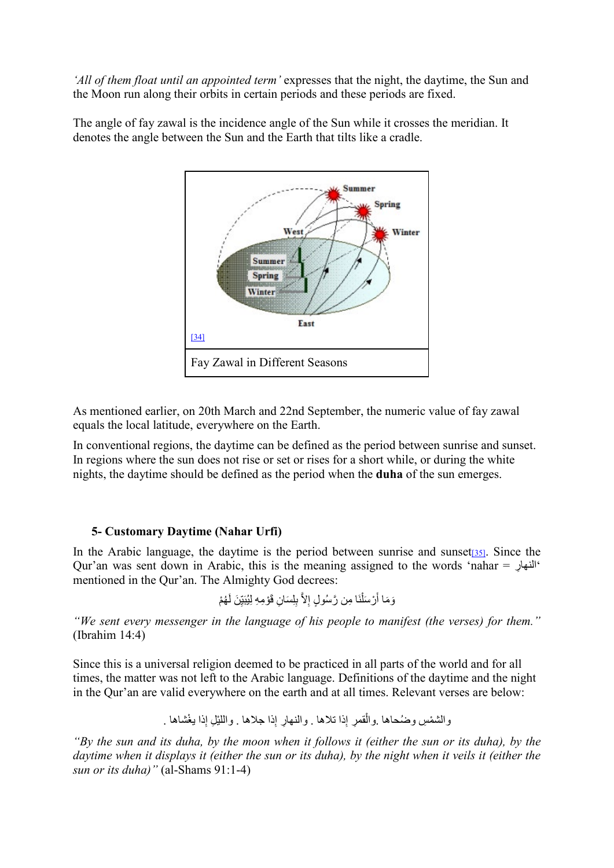*'All of them float until an appointed term'* expresses that the night, the daytime, the Sun and the Moon run along their orbits in certain periods and these periods are fixed.



The angle of fay zawal is the incidence angle of the Sun while it crosses the meridian. It denotes the angle between the Sun and the Earth that tilts like a cradle.

<span id="page-14-0"></span>As mentioned earlier, on 20th March and 22nd September, the numeric value of fay zawal equals the local latitude, everywhere on the Earth.

In conventional regions, the daytime can be defined as the period between sunrise and sunset. In regions where the sun does not rise or set or rises for a short while, or during the white nights, the daytime should be defined as the period when the **duha** of the sun emerges.

#### **5- Customary Daytime (Nahar Urfi)**

In the Arabic language, the daytime is the period between sunrise and sunset  $[35]$ . Since the Qur'an was sent down in Arabic, this is the meaning assigned to the words 'nahar = النھار ِ ' mentioned in the Qur'an. The Almighty God decrees:

> <span id="page-14-1"></span>َوَمَا أَرْسَلْنَا مِن رَّسُولٍ إِلاَّ بِلِسَانِ قَوْمِهِ لِيُبَيِّنَ لَهُمْ ِ ٔ<br>ا َ

*"We sent every messenger in the language of his people to manifest (the verses) for them."* (Ibrahim 14:4)

Since this is a universal religion deemed to be practiced in all parts of the world and for all times, the matter was not left to the Arabic language. Definitions of the daytime and the night in the Qur'an are valid everywhere on the earth and at all times. Relevant verses are below:

ِ ْ ذا یغشاھا . ِ ْ ذا جلاھا . واللی ِل إ ِ ِ ذا تلاھا . والنھار إ ْ ِ قمر إ ْ والشم ِس ُ وضحاھا .وال

*"By the sun and its duha, by the moon when it follows it (either the sun or its duha), by the daytime when it displays it (either the sun or its duha), by the night when it veils it (either the sun or its duha)"* (al-Shams 91:1-4)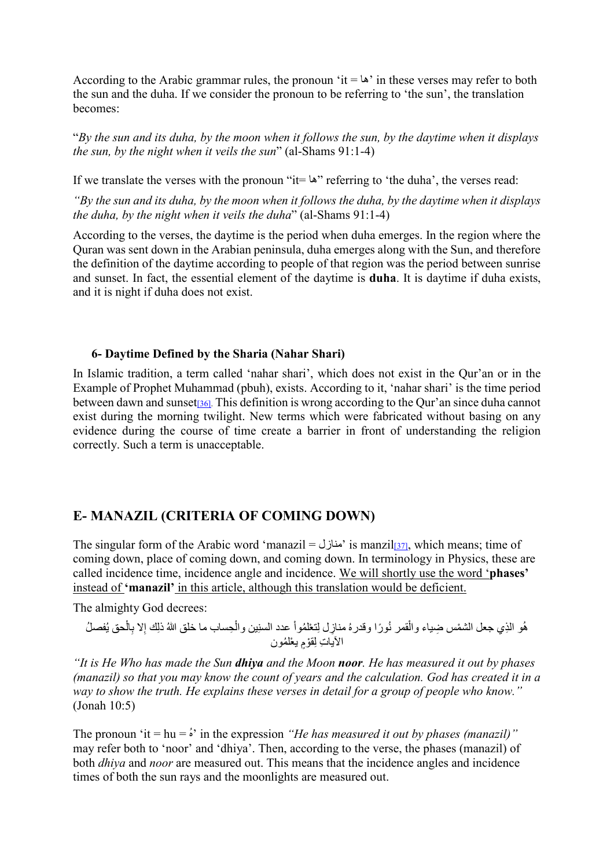According to the Arabic grammar rules, the pronoun 'it =  $\omega$ ' in these verses may refer to both the sun and the duha. If we consider the pronoun to be referring to 'the sun', the translation becomes:

"*By the sun and its duha, by the moon when it follows the sun, by the daytime when it displays the sun, by the night when it veils the sun*" (al-Shams 91:1-4)

If we translate the verses with the pronoun "it=  $\omega$ " referring to 'the duha', the verses read:

*"By the sun and its duha, by the moon when it follows the duha, by the daytime when it displays the duha, by the night when it veils the duha*" (al-Shams 91:1-4)

According to the verses, the daytime is the period when duha emerges. In the region where the Quran was sent down in the Arabian peninsula, duha emerges along with the Sun, and therefore the definition of the daytime according to people of that region was the period between sunrise and sunset. In fact, the essential element of the daytime is **duha**. It is daytime if duha exists, and it is night if duha does not exist.

#### <span id="page-15-0"></span>**6- Daytime Defined by the Sharia (Nahar Shari)**

In Islamic tradition, a term called 'nahar shari', which does not exist in the Qur'an or in the Example of Prophet Muhammad (pbuh), exists. According to it, 'nahar shari' is the time period between dawn and sunse[t\[36\].](#page-42-11) This definition is wrong according to the Qur'an since duha cannot exist during the morning twilight. New terms which were fabricated without basing on any evidence during the course of time create a barrier in front of understanding the religion correctly. Such a term is unacceptable.

# **E- MANAZIL (CRITERIA OF COMING DOWN)**

The singular form of the Arabic word 'manazil = منازل is manzil<sub>[37]</sub>, which means; time of coming down, place of coming down, and coming down. In terminology in Physics, these are called incidence time, incidence angle and incidence. We will shortly use the word '**phases'** instead of **'manazil'** in this article, although this translation would be deficient.

The almighty God decrees:

<span id="page-15-1"></span>ُفص ْحق ی ِال ِلا ب ُ ِ ذلك إ ْ ِحساب ما خلق الله ِین وال ْ عدد السن ُ ِ مناز ِل ل ْ تع ُ لموا ُ ًورا وقدره ُھ ِ و الذ ْ ي جعل الشم ِس ضیاء وال ُل ْقمر ن ِ الآیات ِ ل ْقوٍم ْ یع ُ لمون

*"It is He Who has made the Sun dhiya and the Moon noor. He has measured it out by phases (manazil) so that you may know the count of years and the calculation. God has created it in a way to show the truth. He explains these verses in detail for a group of people who know."* (Jonah 10:5)

The pronoun 'it =  $hu = \dot{s}$ ' in the expression "*He has measured it out by phases (manazil)*" may refer both to 'noor' and 'dhiya'. Then, according to the verse, the phases (manazil) of both *dhiya* and *noor* are measured out. This means that the incidence angles and incidence times of both the sun rays and the moonlights are measured out.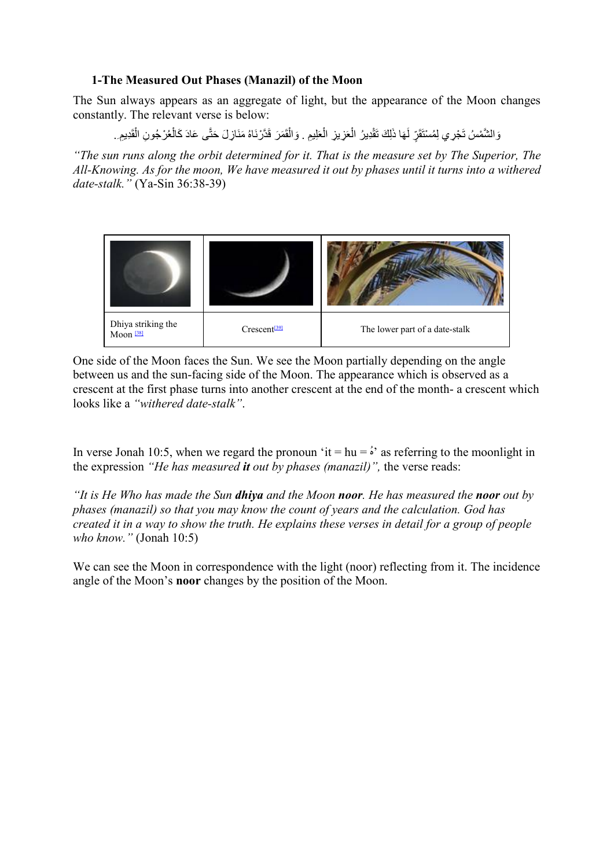### **1-The Measured Out Phases (Manazil) of the Moon**

The Sun always appears as an aggregate of light, but the appearance of the Moon changes constantly. The relevant verse is below:

وَالشَّمْسُ تَجْرِي لِمُسْتَقَرٍّ لَهَا ذَلِكَ تَقْدِيرُ الْعَزِيزِ الْعَلِيمِ . وَالْقَمَرَ قَدَّرْنَاهُ مَنَازِلَ حَتَّى عَادَ كَالْعُرْجُونِ الْقَدِيمِ. َؚ<br>ا

*"The sun runs along the orbit determined for it. That is the measure set by The Superior, The All-Knowing. As for the moon, We have measured it out by phases until it turns into a withered date-stalk."* (Ya-Sin 36:38-39)

<span id="page-16-1"></span>

<span id="page-16-0"></span>One side of the Moon faces the Sun. We see the Moon partially depending on the angle between us and the sun-facing side of the Moon. The appearance which is observed as a crescent at the first phase turns into another crescent at the end of the month- a crescent which looks like a *"withered date-stalk"*.

In verse Jonah 10:5, when we regard the pronoun 'it =  $hu = \dot{s}$ ' as referring to the moonlight in the expression *"He has measured it out by phases (manazil)",* the verse reads:

*"It is He Who has made the Sun dhiya and the Moon noor. He has measured the noor out by phases (manazil) so that you may know the count of years and the calculation. God has created it in a way to show the truth. He explains these verses in detail for a group of people who know."* (Jonah 10:5)

We can see the Moon in correspondence with the light (noor) reflecting from it. The incidence angle of the Moon's **noor** changes by the position of the Moon.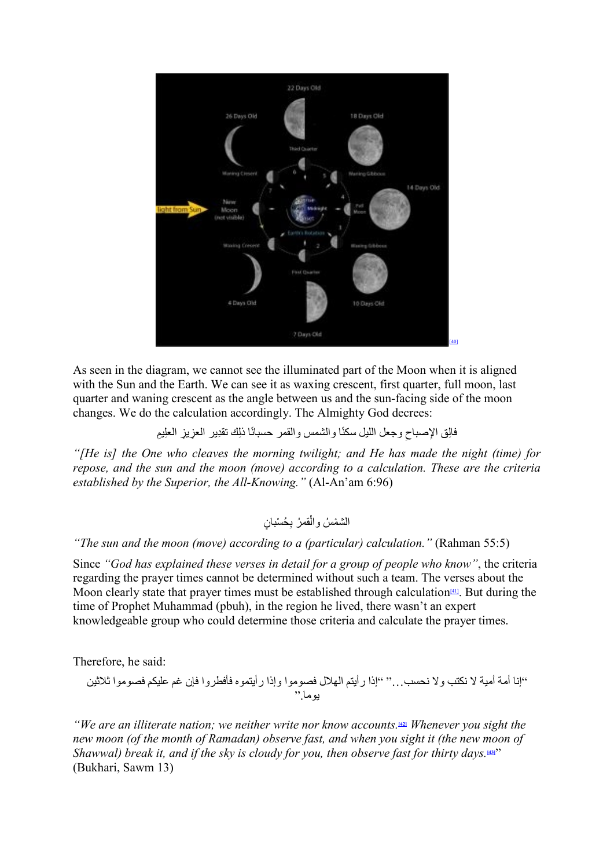<span id="page-17-0"></span>

As seen in the diagram, we cannot see the illuminated part of the Moon when it is aligned with the Sun and the Earth. We can see it as waxing crescent, first quarter, full moon, last quarter and waning crescent as the angle between us and the sun-facing side of the moon changes. We do the calculation accordingly. The Almighty God decrees:

فالِق الإصباحِ وجعل الليل سكنًا والشمس والقمر حسبانًا ذلِك تقدِير العزيزِ العلِيمِ

*"[He is] the One who cleaves the morning twilight; and He has made the night (time) for repose, and the sun and the moon (move) according to a calculation. These are the criteria established by the Superior, the All-Knowing."* (Al-An'am 6:96)

<span id="page-17-3"></span><span id="page-17-2"></span><span id="page-17-1"></span>ِ ُح ْس ٍ بان ْ ُ قمر ب ْ الشم ُس وال

*"The sun and the moon (move) according to a (particular) calculation."* (Rahman 55:5)

Since *"God has explained these verses in detail for a group of people who know"*, the criteria regarding the prayer times cannot be determined without such a team. The verses about the Moon clearly state that prayer times must be established through calculation<sup>[41]</sup>. But during the time of Prophet Muhammad (pbuh), in the region he lived, there wasn't an expert knowledgeable group who could determine those criteria and calculate the prayer times.

Therefore, he said:

"إنا أمة أمیة لا نكتب ولا نحسب..." "إذا رأیتم الھلال فصوموا وإذا رأیتموه فأفطروا فإن غم علیكم فصوموا ثلاثین یوما."

*"We are an illiterate nation; we neither write nor know accounts.***[\[42\]](#page-42-17)** *Whenever you sight the new moon (of the month of Ramadan) observe fast, and when you sight it (the new moon of Shawwal) break it, and if the sky is cloudy for you, then observe fast for thirty days.***[\[43\]](#page-42-18)**" (Bukhari, Sawm 13)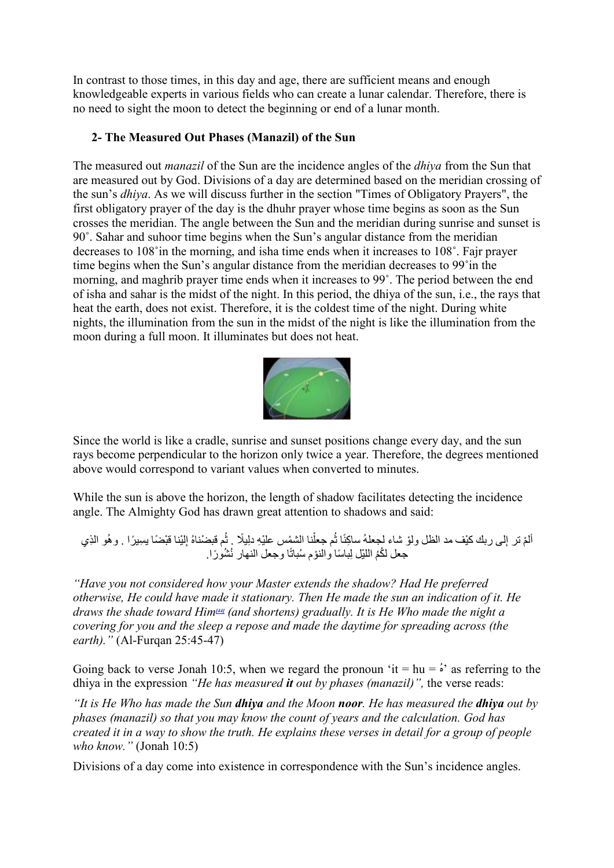In contrast to those times, in this day and age, there are sufficient means and enough knowledgeable experts in various fields who can create a lunar calendar. Therefore, there is no need to sight the moon to detect the beginning or end of a lunar month.

## **2- The Measured Out Phases (Manazil) of the Sun**

The measured out *manazil* of the Sun are the incidence angles of the *dhiya* from the Sun that are measured out by God. Divisions of a day are determined based on the meridian crossing of the sun's *dhiya*. As we will discuss further in the section "Times of Obligatory Prayers", the first obligatory prayer of the day is the dhuhr prayer whose time begins as soon as the Sun crosses the meridian. The angle between the Sun and the meridian during sunrise and sunset is 90˚. Sahar and suhoor time begins when the Sun's angular distance from the meridian decreases to 108˚in the morning, and isha time ends when it increases to 108˚. Fajr prayer time begins when the Sun's angular distance from the meridian decreases to 99˚in the morning, and maghrib prayer time ends when it increases to 99˚. The period between the end of isha and sahar is the midst of the night. In this period, the dhiya of the sun, i.e., the rays that heat the earth, does not exist. Therefore, it is the coldest time of the night. During white nights, the illumination from the sun in the midst of the night is like the illumination from the moon during a full moon. It illuminates but does not heat.



Since the world is like a cradle, sunrise and sunset positions change every day, and the sun rays become perpendicular to the horizon only twice a year. Therefore, the degrees mentioned above would correspond to variant values when converted to minutes.

While the sun is above the horizon, the length of shadow facilitates detecting the incidence angle. The Almighty God has drawn great attention to shadows and said:

֡֡**֡** الم تر إلى ربك كيْف مد الظل ولوْ شاء لجعلهُ ساكِنًا ثُم جعلْنا الشَّمْس عليْهِ دلِيلًا . ثُم قبضْناهُ إِلَيْنا قبْضًا بسِيرًا . وهُو الذِي جعل لكُمُ اللَّيْلِ لِباسًا والنوْم سُبانًا وجعل النهار نُشُورًا.

<span id="page-18-0"></span>*"Have you not considered how your Master extends the shadow? Had He preferred otherwise, He could have made it stationary. Then He made the sun an indication of it. He draws the shade toward Him[\[44\]](#page-42-19) (and shortens) gradually. It is He Who made the night a covering for you and the sleep a repose and made the daytime for spreading across (the earth)."* (Al-Furqan 25:45-47)

Going back to verse Jonah 10:5, when we regard the pronoun 'it =  $hu = \dot{s}$ ' as referring to the dhiya in the expression *"He has measured it out by phases (manazil)",* the verse reads:

*"It is He Who has made the Sun dhiya and the Moon noor. He has measured the dhiya out by phases (manazil) so that you may know the count of years and the calculation. God has created it in a way to show the truth. He explains these verses in detail for a group of people who know."* (Jonah 10:5)

Divisions of a day come into existence in correspondence with the Sun's incidence angles.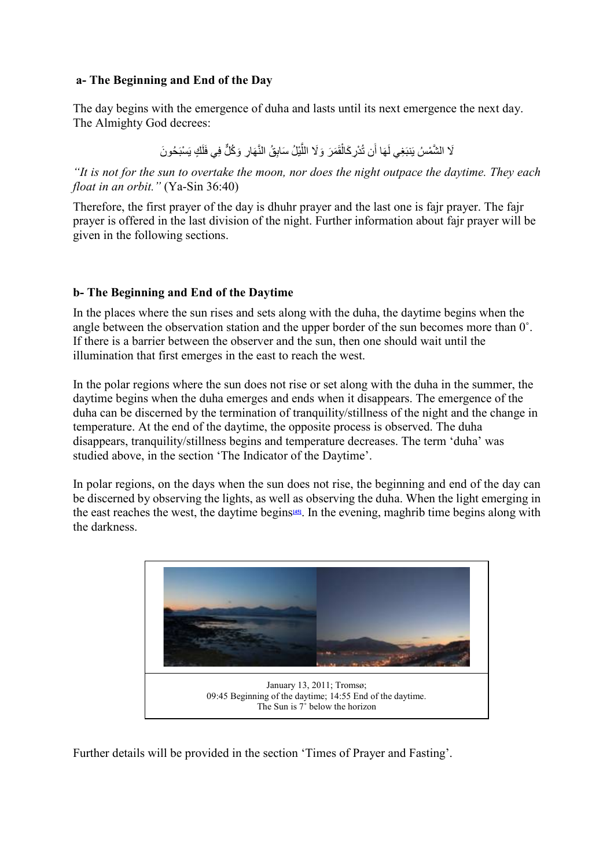#### **a- The Beginning and End of the Day**

The day begins with the emergence of duha and lasts until its next emergence the next day. The Almighty God decrees:

> لَا الشَّمْسُ يَنبَغِي لَهَا أَن تُدْرِ كَالْقَمَرَ ۖ وَلَا اللَّيْلُ سَابِقُ النَّهَارِ وَكُلٍّ فِي فَلَكٍ يَسْبَحُونَ َل َؚّ<br>ا َ

*"It is not for the sun to overtake the moon, nor does the night outpace the daytime. They each float in an orbit."* (Ya-Sin 36:40)

Therefore, the first prayer of the day is dhuhr prayer and the last one is fajr prayer. The fajr prayer is offered in the last division of the night. Further information about fajr prayer will be given in the following sections.

#### **b- The Beginning and End of the Daytime**

In the places where the sun rises and sets along with the duha, the daytime begins when the angle between the observation station and the upper border of the sun becomes more than 0˚. If there is a barrier between the observer and the sun, then one should wait until the illumination that first emerges in the east to reach the west.

In the polar regions where the sun does not rise or set along with the duha in the summer, the daytime begins when the duha emerges and ends when it disappears. The emergence of the duha can be discerned by the termination of tranquility/stillness of the night and the change in temperature. At the end of the daytime, the opposite process is observed. The duha disappears, tranquility/stillness begins and temperature decreases. The term 'duha' was studied above, in the section 'The Indicator of the Daytime'.

In polar regions, on the days when the sun does not rise, the beginning and end of the day can be discerned by observing the lights, as well as observing the duha. When the light emerging in the east reaches the west, the daytime begins**[\[45\]](#page-43-0)**. In the evening, maghrib time begins along with the darkness.

<span id="page-19-0"></span>

Further details will be provided in the section 'Times of Prayer and Fasting'.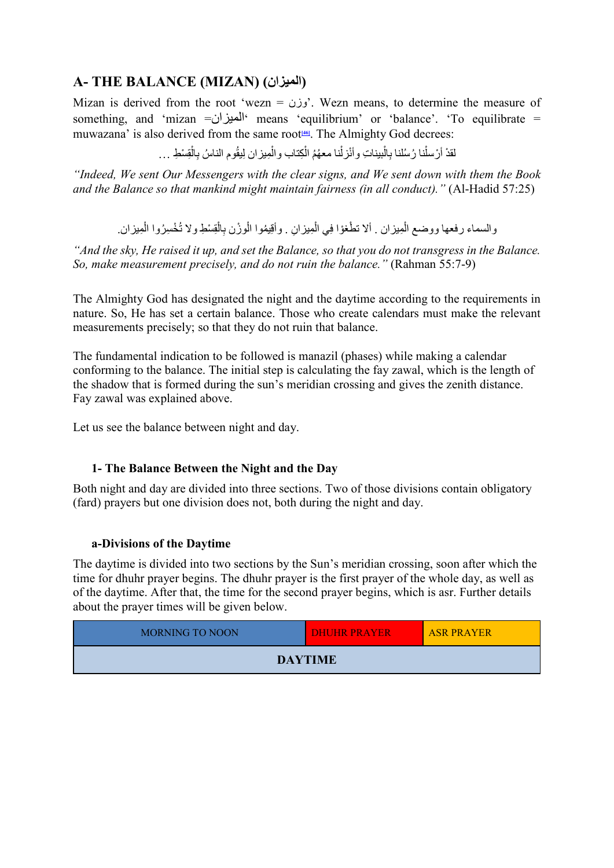# **A- THE BALANCE (MIZAN) (المیزان(**

Mizan is derived from the root 'wezn = وزن $'$ . Wezn means, to determine the measure of something, and 'mizan = $\bigcup$ <sup>4</sup>' means 'equilibrium' or 'balance'. 'To equilibrate = muwazana' is also derived from the same root<sup>146</sup>. The Almighty God decrees:

> <span id="page-20-0"></span>لقدْ أرْسلْنا رُسُلنا بِالْبيناتِ وأنْزلْنا معهُمُ الْكِتاب والْمِيزان لِيقُوم الناسُ بِالْقِسْطِ … ُا<br>ا ا<br>ا ا<br>ا ا<br>ا

*"Indeed, We sent Our Messengers with the clear signs, and We sent down with them the Book and the Balance so that mankind might maintain fairness (in all conduct)."* (Al-Hadid 57:25)

ا<br>ا والسماء رفعها ووضع الْمِيزان . ألا تطْغوْا فِي الْمِيزانِ . وأقِيمُوا الْوزْن بِالْقِسْطِ ولا تُخْسِرُوا الْمِيزان. ا<br>ا ا<br>ا ؚ<br>ا

*"And the sky, He raised it up, and set the Balance, so that you do not transgress in the Balance. So, make measurement precisely, and do not ruin the balance."* (Rahman 55:7-9)

The Almighty God has designated the night and the daytime according to the requirements in nature. So, He has set a certain balance. Those who create calendars must make the relevant measurements precisely; so that they do not ruin that balance.

The fundamental indication to be followed is manazil (phases) while making a calendar conforming to the balance. The initial step is calculating the fay zawal, which is the length of the shadow that is formed during the sun's meridian crossing and gives the zenith distance. Fay zawal was explained above.

Let us see the balance between night and day.

#### **1- The Balance Between the Night and the Day**

Both night and day are divided into three sections. Two of those divisions contain obligatory (fard) prayers but one division does not, both during the night and day.

#### **a-Divisions of the Daytime**

The daytime is divided into two sections by the Sun's meridian crossing, soon after which the time for dhuhr prayer begins. The dhuhr prayer is the first prayer of the whole day, as well as of the daytime. After that, the time for the second prayer begins, which is asr. Further details about the prayer times will be given below.

| <b>MORNING TO NOON</b> | <b>DHUHR PRAYER</b> | <b>ASR PRAYER</b> |  |  |  |
|------------------------|---------------------|-------------------|--|--|--|
| <b>DAYTIME</b>         |                     |                   |  |  |  |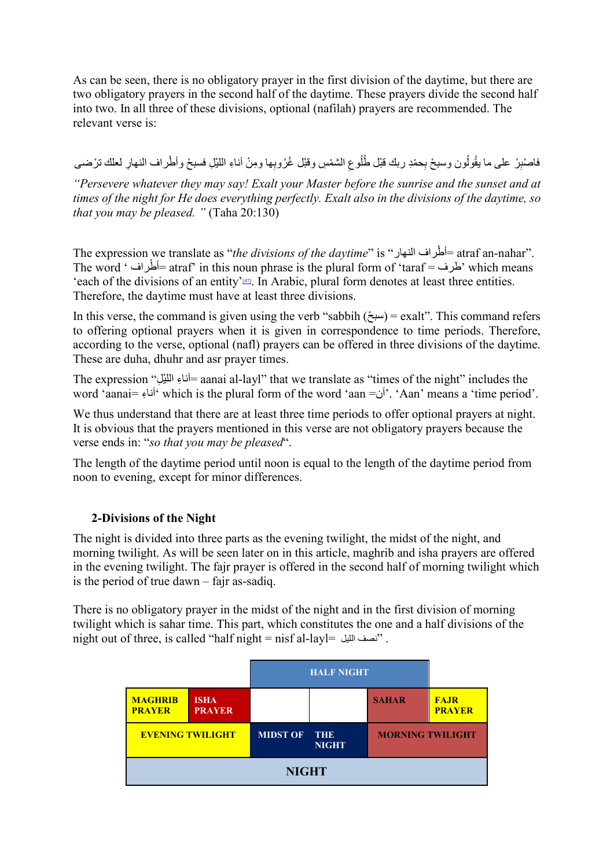As can be seen, there is no obligatory prayer in the first division of the daytime, but there are two obligatory prayers in the second half of the daytime. These prayers divide the second half into two. In all three of these divisions, optional (nafilah) prayers are recommended. The relevant verse is:

فاصْنِرْ على ما يقُولُون وسبحْ بِحمْدِ ربك قَبْل طُلُوعِ الشمْسِ وقَبْل غُرُوبِها ومِنْ آناءِ اللَّيْلِ فسبحْ وأطْراف النهارِ لعلك ترْضـي ُ

*"Persevere whatever they may say! Exalt your Master before the sunrise and the sunset and at times of the night for He does everything perfectly. Exalt also in the divisions of the daytime, so that you may be pleased. "* (Taha 20:130)

<span id="page-21-0"></span>The expression we translate as "*the divisions of the daytime*" is "-أطراف النهار" = atraf an-nahar". The word ' أطراف = atraf' in this noun phrase is the plural form of 'taraf ضرف ' which means 'each of the divisions of an entity' $\frac{47}{2}$ . In Arabic, plural form denotes at least three entities. Therefore, the daytime must have at least three divisions.

In this verse, the command is given using the verb "sabbih  $(ω<sub>π</sub>)$  = exalt". This command refers to offering optional prayers when it is given in correspondence to time periods. Therefore, according to the verse, optional (nafl) prayers can be offered in three divisions of the daytime. These are duha, dhuhr and asr prayer times.

The expression "آناءِ الليِّل" aanai al-layl" that we translate as "times of the night" includes the word 'aanai= آناء ِ ' which is the plural form of the word 'aan =آن'.' Aan' means a 'time period'.

We thus understand that there are at least three time periods to offer optional prayers at night. It is obvious that the prayers mentioned in this verse are not obligatory prayers because the verse ends in: "*so that you may be pleased*".

The length of the daytime period until noon is equal to the length of the daytime period from noon to evening, except for minor differences.

# **2-Divisions of the Night**

The night is divided into three parts as the evening twilight, the midst of the night, and morning twilight. As will be seen later on in this article, maghrib and isha prayers are offered in the evening twilight. The fajr prayer is offered in the second half of morning twilight which is the period of true dawn – fajr as-sadiq.

There is no obligatory prayer in the midst of the night and in the first division of morning twilight which is sahar time. This part, which constitutes the one and a half divisions of the night out of three, is called "half night = nisf al-layl= اللیل نصف ".

|                                 |                              | <b>HALF NIGHT</b> |                            |                         |                              |
|---------------------------------|------------------------------|-------------------|----------------------------|-------------------------|------------------------------|
| <b>MAGHRIB</b><br><b>PRAYER</b> | <b>ISHA</b><br><b>PRAYER</b> |                   |                            | <b>SAHAR</b>            | <b>FAJR</b><br><b>PRAYER</b> |
| <b>EVENING TWILIGHT</b>         |                              | <b>MIDST OF</b>   | <b>THE</b><br><b>NIGHT</b> | <b>MORNING TWILIGHT</b> |                              |
| <b>NIGHT</b>                    |                              |                   |                            |                         |                              |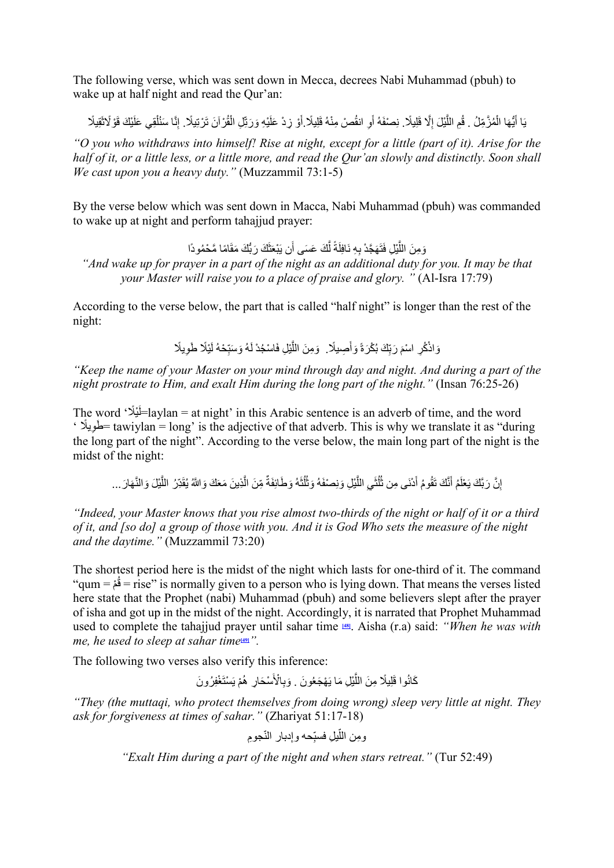The following verse, which was sent down in Mecca, decrees Nabi Muhammad (pbuh) to wake up at half night and read the Qur'an:

ו<br>ו بَا أَيُّهَا الْمُزَّمِّلُ . قُمِ اللَّيْلَ إِلَّا قَلِيلًا . نِصْفَهُ أَوِ انقُصْ مِنْهُ قَلِيلًا أَوْ زِدْ عَلَيْهِ وَرَتِّلِ الْقُرْآنَ تَرْتِيلًا . إِنَّا سَنُلْقِي عَلَيْكَ قَوْ لَاتَقِيلًا ֺ֧֖֖֧֧֧֧ׅ֧ׅ֧ׅ֧ׅ֧֧ׅ֧֧֪֧֧֧ׅ֧֧֧֧֧֚֚֚֚֚֚֚֚֚֚֚֚֚֚֚֚֚֚֚֚֚֚֚֝֝֝֝֟֓֡֞֟֓֡֞֡֡֡֡֬֜֓֡֜֓֜֜֓֝֬֜֝֬֝֝֬֜֝֬֝֬ َ ؘ<br>ا  $\ddot{\phantom{a}}$ ُ ؚ<br>ا ْ ا<br>ا

*"O you who withdraws into himself! Rise at night, except for a little (part of it). Arise for the half of it, or a little less, or a little more, and read the Qur'an slowly and distinctly. Soon shall We cast upon you a heavy duty."* (Muzzammil 73:1-5)

By the verse below which was sent down in Macca, Nabi Muhammad (pbuh) was commanded to wake up at night and perform tahajjud prayer:

> يْلِ فَتَهَجَّدْ بِهِ نَافِلَةً لَّكَ عَسَى أَن يَبْعَثَكَ رَبُّكَ مَقَامًا مَّحْمُودًا َّ $\frac{1}{2}$

"And wake up for prayer in a part of the night as an additional duty for you. It may be that *your Master will raise you to a place of praise and glory. "* (Al-Isra 17:79)

According to the verse below, the part that is called "half night" is longer than the rest of the night:

> َوَاذْكُرِ اسْمَ رَبِّكَ بُكْرَةً وَأَصِيلًا. ۖ وَمِنَ اللَّيْلِ فَاسْجُدْ لَهُ وَسَبِّحْهُ لَيْلًا طَوِيلًا  $\overline{\phantom{a}}$ ِ

*"Keep the name of your Master on your mind through day and night. And during a part of the night prostrate to Him, and exalt Him during the long part of the night."* (Insan 76:25-26)

The word 'أَيْلًا' =laylan = at night' in this Arabic sentence is an adverb of time, and the word  $\cdot$  الحَويلًا = tawiylan = long' is the adjective of that adverb. This is why we translate it as "during the long part of the night". According to the verse below, the main long part of the night is the midst of the night:

إِنَّ رَبَّكَ يَعْلَمُ أَنَّكَ نَقُومُ أَدْنَى مِن ثُلُثَيِ اللَّيْلِ وَنِصْفَهُ وَثُلْثَهُ وَطَائِفَةٌ مِّنَ الَّذِينَ مَعَكَ وَاللَّهُ يُقَدِّرُ اللَّيْلَ وَالنَّهَارَ … ِ<br>ا ؘ<br>ا ٌَّاً<br>ا

*"Indeed, your Master knows that you rise almost two-thirds of the night or half of it or a third of it, and [so do] a group of those with you. And it is God Who sets the measure of the night and the daytime."* (Muzzammil 73:20)

The shortest period here is the midst of the night which lasts for one-third of it. The command ْم = qum" ق = rise" is normally given to a person who is lying down. That means the verses listed ُ here state that the Prophet (nabi) Muhammad (pbuh) and some believers slept after the prayer of isha and got up in the midst of the night. Accordingly, it is narrated that Prophet Muhammad used to complete the tahajjud prayer until sahar time **[\[48\]](#page-43-3)**. Aisha (r.a) said: *"When he was with me, he used to sleep at sahar time*<sup>[\[49\]](#page-43-4)</sup>.

The following two verses also verify this inference:

<span id="page-22-1"></span>كَانُوا قَلِيلًا مِنَ اللَّيْلِ مَا يَهْجَعُونَ . وَبِالْأَسْحَارِ ۖ هُمْ يَسْتَغْفِرُونَ ؚ<br>ا

*"They (the muttaqi, who protect themselves from doing wrong) sleep very little at night. They ask for forgiveness at times of sahar."* (Zhariyat 51:17-18)

<span id="page-22-0"></span>ّ ِومن الل ِجوم ّ ِ یل ف ِدبار الن ّحھ وإ ِ سب

*"Exalt Him during a part of the night and when stars retreat."* (Tur 52:49)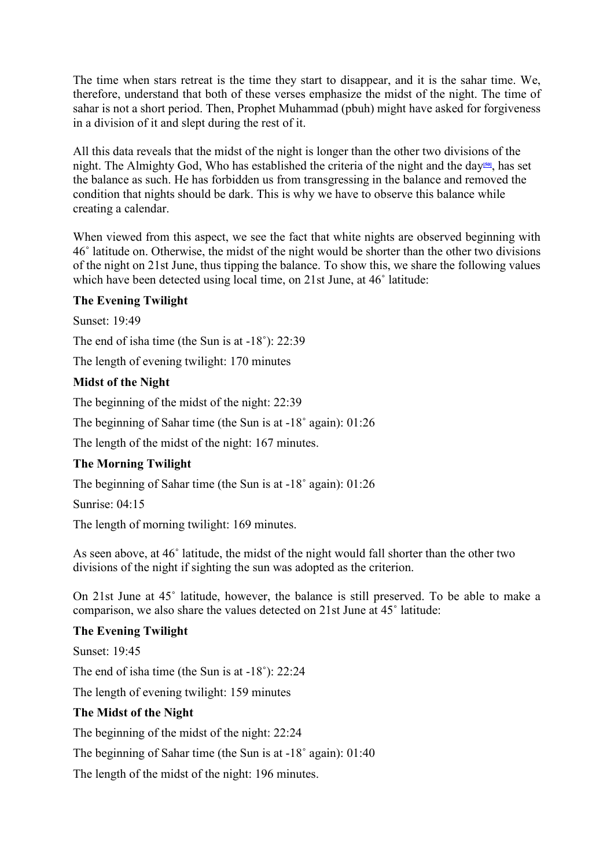The time when stars retreat is the time they start to disappear, and it is the sahar time. We, therefore, understand that both of these verses emphasize the midst of the night. The time of sahar is not a short period. Then, Prophet Muhammad (pbuh) might have asked for forgiveness in a division of it and slept during the rest of it.

<span id="page-23-0"></span>All this data reveals that the midst of the night is longer than the other two divisions of the night. The Almighty God, Who has established the criteria of the night and the day**[\[50\]](#page-43-5)**, has set the balance as such. He has forbidden us from transgressing in the balance and removed the condition that nights should be dark. This is why we have to observe this balance while creating a calendar.

When viewed from this aspect, we see the fact that white nights are observed beginning with 46˚ latitude on. Otherwise, the midst of the night would be shorter than the other two divisions of the night on 21st June, thus tipping the balance. To show this, we share the following values which have been detected using local time, on 21st June, at 46° latitude:

#### **The Evening Twilight**

Sunset: 19:49

The end of isha time (the Sun is at -18˚): 22:39

The length of evening twilight: 170 minutes

#### **Midst of the Night**

The beginning of the midst of the night: 22:39

The beginning of Sahar time (the Sun is at -18˚ again): 01:26

The length of the midst of the night: 167 minutes.

#### **The Morning Twilight**

The beginning of Sahar time (the Sun is at -18˚ again): 01:26

Sunrise: 04:15

The length of morning twilight: 169 minutes.

As seen above, at 46˚ latitude, the midst of the night would fall shorter than the other two divisions of the night if sighting the sun was adopted as the criterion.

On 21st June at 45˚ latitude, however, the balance is still preserved. To be able to make a comparison, we also share the values detected on 21st June at 45˚ latitude:

#### **The Evening Twilight**

Sunset: 19:45

The end of isha time (the Sun is at -18˚): 22:24

The length of evening twilight: 159 minutes

#### **The Midst of the Night**

The beginning of the midst of the night: 22:24

The beginning of Sahar time (the Sun is at -18˚ again): 01:40

The length of the midst of the night: 196 minutes.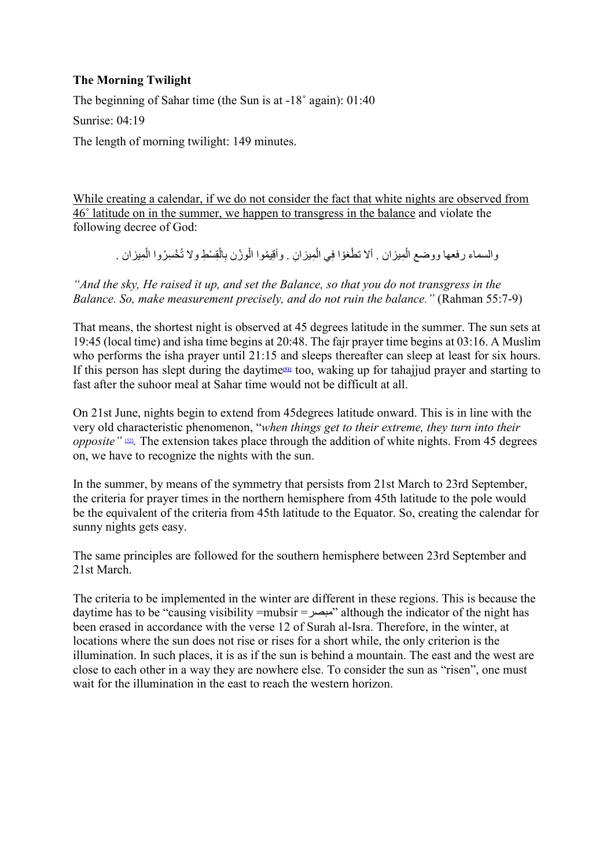## **The Morning Twilight**

The beginning of Sahar time (the Sun is at -18˚ again): 01:40

Sunrise: 04:19

The length of morning twilight: 149 minutes.

While creating a calendar, if we do not consider the fact that white nights are observed from 46˚ latitude on in the summer, we happen to transgress in the balance and violate the following decree of God:

<span id="page-24-0"></span>ا<br>ا والسماء رفعها ووضع الْمِيزان . ألا تطْغوْا فِي الْمِيزانِ . وأقِيمُوا الْوزْن بِالْقِسْطِ ولا تُخْسِرُوا الْمِيزان . ْ ؚ<br>ׇ֡֡֬֟֩֕֓֟֓֟֓֟֓֟֓֡֟֓֟֓֡֬֟֩*֟* ؚ<br>ا

*"And the sky, He raised it up, and set the Balance, so that you do not transgress in the Balance. So, make measurement precisely, and do not ruin the balance."* (Rahman 55:7-9)

That means, the shortest night is observed at 45 degrees latitude in the summer. The sun sets at 19:45 (local time) and isha time begins at 20:48. The fajr prayer time begins at 03:16. A Muslim who performs the isha prayer until 21:15 and sleeps thereafter can sleep at least for six hours. If this person has slept during the daytime**[\[51\]](#page-43-6)** too, waking up for tahajjud prayer and starting to fast after the suhoor meal at Sahar time would not be difficult at all.

<span id="page-24-1"></span>On 21st June, nights begin to extend from 45degrees latitude onward. This is in line with the very old characteristic phenomenon, "*when things get to their extreme, they turn into their opposite*" <sup>[\[52\]](#page-43-7)</sup>. The extension takes place through the addition of white nights. From 45 degrees on, we have to recognize the nights with the sun.

In the summer, by means of the symmetry that persists from 21st March to 23rd September, the criteria for prayer times in the northern hemisphere from 45th latitude to the pole would be the equivalent of the criteria from 45th latitude to the Equator. So, creating the calendar for sunny nights gets easy.

The same principles are followed for the southern hemisphere between 23rd September and 21st March.

The criteria to be implemented in the winter are different in these regions. This is because the daytime has to be "causing visibility =mubsir =مبصر "although the indicator of the night has been erased in accordance with the verse 12 of Surah al-Isra. Therefore, in the winter, at locations where the sun does not rise or rises for a short while, the only criterion is the illumination. In such places, it is as if the sun is behind a mountain. The east and the west are close to each other in a way they are nowhere else. To consider the sun as "risen", one must wait for the illumination in the east to reach the western horizon.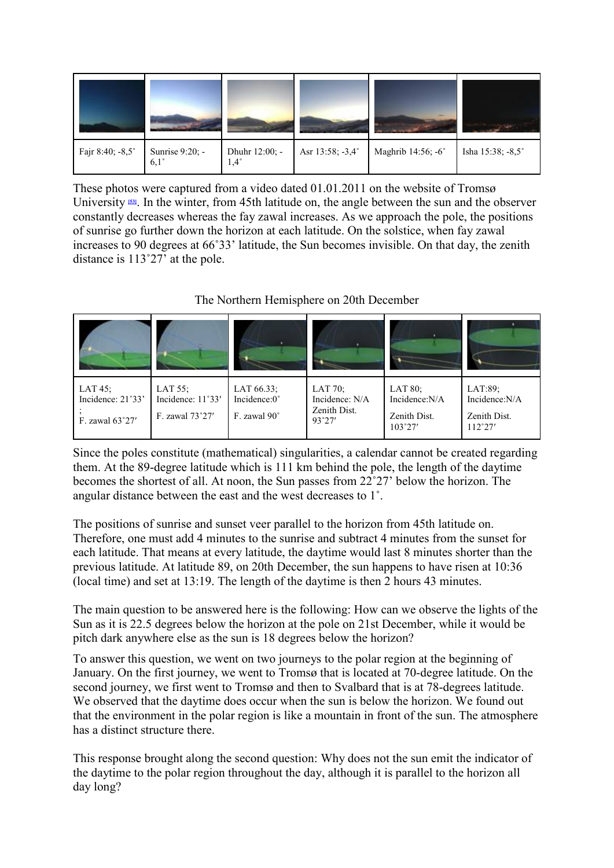| Fajr 8:40; -8,5° | Sunrise 9:20; -<br>$6,1^\circ$ | Dhuhr 12:00; -<br>$1,4^{\circ}$ | Asr 13:58; -3,4° | Maghrib 14:56; -6° | Isha 15:38; -8,5° |
|------------------|--------------------------------|---------------------------------|------------------|--------------------|-------------------|

<span id="page-25-0"></span>These photos were captured from a video dated 01.01.2011 on the website of Tromsø University **[\[53\]](#page-43-8)**. In the winter, from 45th latitude on, the angle between the sun and the observer constantly decreases whereas the fay zawal increases. As we approach the pole, the positions of sunrise go further down the horizon at each latitude. On the solstice, when fay zawal increases to 90 degrees at 66˚33' latitude, the Sun becomes invisible. On that day, the zenith distance is 113˚27' at the pole.

| LAT $45$ ;<br>Incidence: 21°33'<br>F. zawal 63°27' | LAT 55;<br>Incidence: 11°33'<br>F. zawal 73°27' | LAT 66.33;<br>Incidence: $0^{\circ}$<br>F. zawal 90° | LAT 70;<br>Incidence: N/A<br>Zenith Dist.<br>93°27' | LAT 80;<br>Incidence:N/A<br>Zenith Dist.<br>$103^{\circ}27'$ | LAT:89;<br>Incidence:N/A<br>Zenith Dist.<br>$112^{\circ}27'$ |
|----------------------------------------------------|-------------------------------------------------|------------------------------------------------------|-----------------------------------------------------|--------------------------------------------------------------|--------------------------------------------------------------|

The Northern Hemisphere on 20th December

Since the poles constitute (mathematical) singularities, a calendar cannot be created regarding them. At the 89-degree latitude which is 111 km behind the pole, the length of the daytime becomes the shortest of all. At noon, the Sun passes from 22˚27' below the horizon. The angular distance between the east and the west decreases to 1˚.

The positions of sunrise and sunset veer parallel to the horizon from 45th latitude on. Therefore, one must add 4 minutes to the sunrise and subtract 4 minutes from the sunset for each latitude. That means at every latitude, the daytime would last 8 minutes shorter than the previous latitude. At latitude 89, on 20th December, the sun happens to have risen at 10:36 (local time) and set at 13:19. The length of the daytime is then 2 hours 43 minutes.

The main question to be answered here is the following: How can we observe the lights of the Sun as it is 22.5 degrees below the horizon at the pole on 21st December, while it would be pitch dark anywhere else as the sun is 18 degrees below the horizon?

To answer this question, we went on two journeys to the polar region at the beginning of January. On the first journey, we went to Tromsø that is located at 70-degree latitude. On the second journey, we first went to Tromsø and then to Svalbard that is at 78-degrees latitude. We observed that the daytime does occur when the sun is below the horizon. We found out that the environment in the polar region is like a mountain in front of the sun. The atmosphere has a distinct structure there.

This response brought along the second question: Why does not the sun emit the indicator of the daytime to the polar region throughout the day, although it is parallel to the horizon all day long?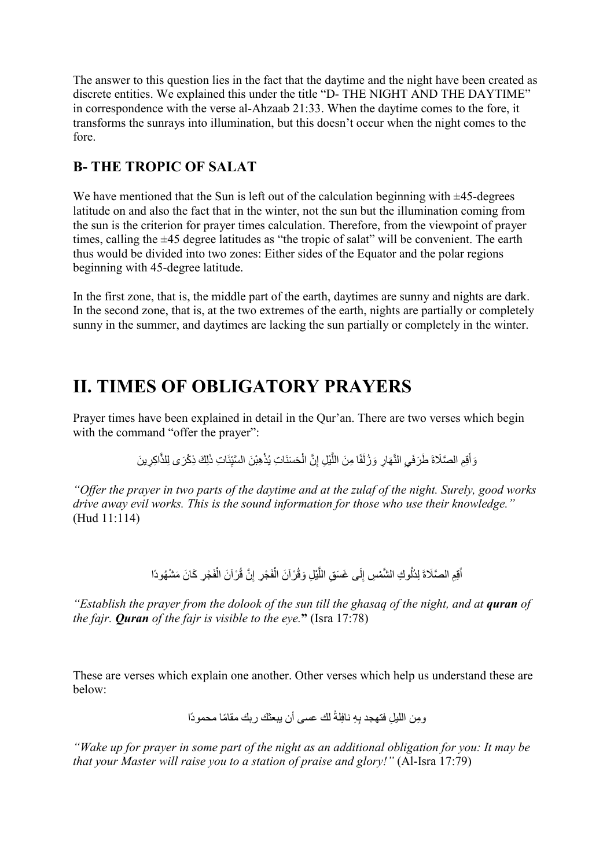The answer to this question lies in the fact that the daytime and the night have been created as discrete entities. We explained this under the title "D- THE NIGHT AND THE DAYTIME" in correspondence with the verse al-Ahzaab 21:33. When the daytime comes to the fore, it transforms the sunrays into illumination, but this doesn't occur when the night comes to the fore.

# **B- THE TROPIC OF SALAT**

We have mentioned that the Sun is left out of the calculation beginning with  $\pm$ 45-degrees latitude on and also the fact that in the winter, not the sun but the illumination coming from the sun is the criterion for prayer times calculation. Therefore, from the viewpoint of prayer times, calling the ±45 degree latitudes as "the tropic of salat" will be convenient. The earth thus would be divided into two zones: Either sides of the Equator and the polar regions beginning with 45-degree latitude.

In the first zone, that is, the middle part of the earth, daytimes are sunny and nights are dark. In the second zone, that is, at the two extremes of the earth, nights are partially or completely sunny in the summer, and daytimes are lacking the sun partially or completely in the winter.

# **II. TIMES OF OBLIGATORY PRAYERS**

Prayer times have been explained in detail in the Qur'an. There are two verses which begin with the command "offer the prayer":

َِل َك ِ ذ ْكَر ِى ل َ ِ ات ذ ّئ ِ ْ ِھْب َن َّ السی ُذ ْ َح َس ِ نَات ی ِ َّن ال َّ ْی ِل إ ً ِ ا م َن الل َف و ُزل َّ َھ ِار َ ِ الن َي ِِم َّ الصَلاةَ َ ط َرف َق َّ ِاكِر َ ین َوأ لذ

*"Offer the prayer in two parts of the daytime and at the zulaf of the night. Surely, good works drive away evil works. This is the sound information for those who use their knowledge."* (Hud 11:114)

> أَقِمِ الصَّلَاةَ لِدُلُوكِ الشَّمْسِ إِلَى غَسَقِ اللَّيْلِ وَقُرْ آنَ الْفَجْرِ ۚ إِنَّ قُرْ آنَ الْفَجْرِ كَانَ مَشْهُودًا  $\frac{1}{2}$ ُ

*"Establish the prayer from the dolook of the sun till the ghasaq of the night, and at <i>quran of the fajr. Quran of the fajr is visible to the eye.***"** (Isra 17:78)

These are verses which explain one another. Other verses which help us understand these are below:

ً لك عسى أن یبعثك ِلة ِ ِھ ناف ِوم ِ ن اللیل ً ربك مقاما محمودًا فتھجد ب

*"Wake up for prayer in some part of the night as an additional obligation for you: It may be that your Master will raise you to a station of praise and glory!"* (Al-Isra 17:79)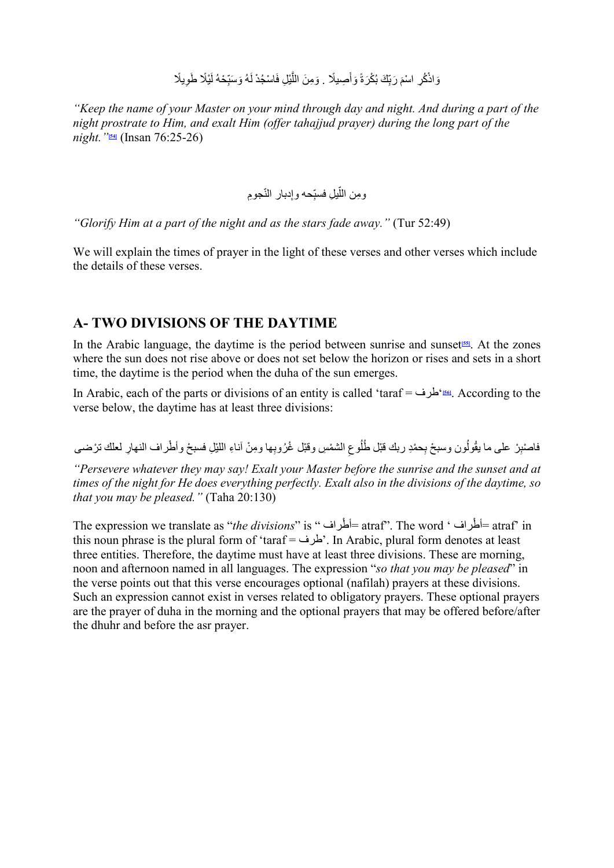#### وَاذْكُرِ اسْمَ رَبِّكَ بُكْرَةً وَأَصِيلًا . وَمِنَ اللَّيْلِ فَاسْجُدْ لَهُ وَسَبِّحْهُ لَيْلًا طَوِيلًا ؘ<br>ا ِ ِ

<span id="page-27-0"></span>*"Keep the name of your Master on your mind through day and night. And during a part of the night prostrate to Him, and exalt Him (offer tahajjud prayer) during the long part of the night."***[\[54\]](#page-43-9)** (Insan 76:25-26)

#### <span id="page-27-2"></span><span id="page-27-1"></span>ومِن اللَّيلِ فسبِّحه وإدبار النَّجومِ ِ ֧֧֧֢ׅ֧֧֧֦֧֧֧֧֧֧֧֧֧֧ׅ֧֧֧֧֧֧֧֧֧֧֚֡֓֓֓֓֓֓֓֓֓֓֓֓֓֓֓֓֓֓֓֓֝֬֓֓֓֓֓֓֜֓֓֓֓֓֬

*"Glorify Him at a part of the night and as the stars fade away."* (Tur 52:49)

We will explain the times of prayer in the light of these verses and other verses which include the details of these verses.

## **A- TWO DIVISIONS OF THE DAYTIME**

In the Arabic language, the daytime is the period between sunrise and sunset**[\[55\]](#page-43-10)**. At the zones where the sun does not rise above or does not set below the horizon or rises and sets in a short time, the daytime is the period when the duha of the sun emerges.

In Arabic, each of the parts or divisions of an entity is called 'taraf = طرف**]**'**[56\[](#page-43-11)**. According to the verse below, the daytime has at least three divisions:

فاصْنِرْ على ما يقُولُون وسبحْ بِحمْدِ ربك قَبْل طُلُوعِ الشمْسِ وقَبْل غُرُوبِها ومِنْ آناءِ اللَّيْلِ فسبحْ وأطْراف النهارِ لعلك ترْضـي

*"Persevere whatever they may say! Exalt your Master before the sunrise and the sunset and at times of the night for He does everything perfectly. Exalt also in the divisions of the daytime, so that you may be pleased."* (Taha 20:130)

The expression we translate as "*the divisions*" is " أطراف ْ = atraf". The word ' أطراف ْ = atraf' in this noun phrase is the plural form of 'taraf = طرف'. In Arabic, plural form denotes at least three entities. Therefore, the daytime must have at least three divisions. These are morning, noon and afternoon named in all languages. The expression "*so that you may be pleased*" in the verse points out that this verse encourages optional (nafilah) prayers at these divisions. Such an expression cannot exist in verses related to obligatory prayers. These optional prayers are the prayer of duha in the morning and the optional prayers that may be offered before/after the dhuhr and before the asr prayer.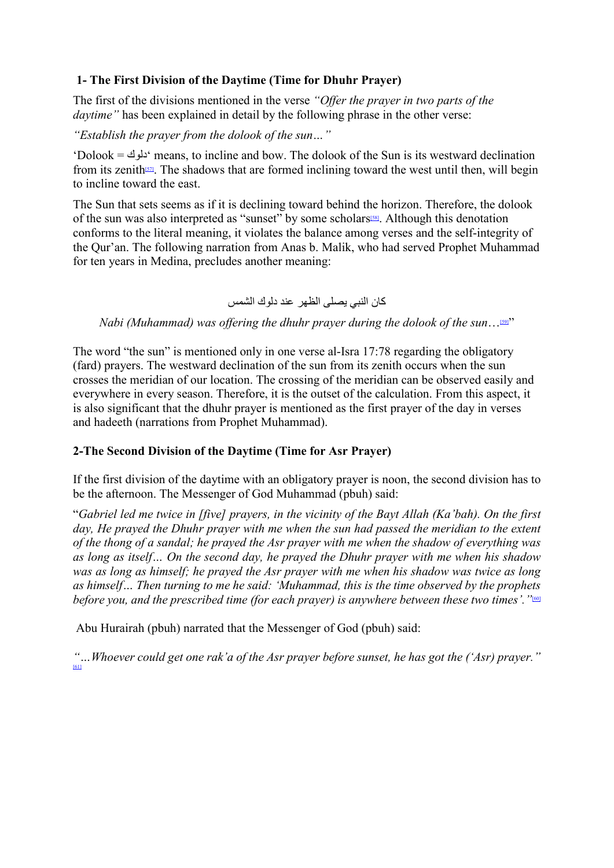#### **1- The First Division of the Daytime (Time for Dhuhr Prayer)**

The first of the divisions mentioned in the verse *"Offer the prayer in two parts of the daytime"* has been explained in detail by the following phrase in the other verse:

*"Establish the prayer from the dolook of the sun…"*

<span id="page-28-0"></span>'Dolook = دلوك 'means, to incline and bow. The dolook of the Sun is its westward declination from its zenith<sup>[57]</sup>. The shadows that are formed inclining toward the west until then, will begin to incline toward the east.

The Sun that sets seems as if it is declining toward behind the horizon. Therefore, the dolook of the sun was also interpreted as "sunset" by some scholars<sup>[58]</sup>. Although this denotation conforms to the literal meaning, it violates the balance among verses and the self-integrity of the Qur'an. The following narration from Anas b. Malik, who had served Prophet Muhammad for ten years in Medina, precludes another meaning:

<span id="page-28-3"></span><span id="page-28-2"></span><span id="page-28-1"></span>كان النبي یصلى الظھر عند دلوك الشمس

*Nabi (Muhammad) was offering the dhuhr prayer during the dolook of the sun*...<sup>[59]"</sup>

The word "the sun" is mentioned only in one verse al-Isra 17:78 regarding the obligatory (fard) prayers. The westward declination of the sun from its zenith occurs when the sun crosses the meridian of our location. The crossing of the meridian can be observed easily and everywhere in every season. Therefore, it is the outset of the calculation. From this aspect, it is also significant that the dhuhr prayer is mentioned as the first prayer of the day in verses and hadeeth (narrations from Prophet Muhammad).

# **2-The Second Division of the Daytime (Time for Asr Prayer)**

If the first division of the daytime with an obligatory prayer is noon, the second division has to be the afternoon. The Messenger of God Muhammad (pbuh) said:

"*Gabriel led me twice in [five] prayers, in the vicinity of the Bayt Allah (Ka'bah). On the first*  day, He prayed the Dhuhr prayer with me when the sun had passed the meridian to the extent *of the thong of a sandal; he prayed the Asr prayer with me when the shadow of everything was as long as itself… On the second day, he prayed the Dhuhr prayer with me when his shadow was as long as himself; he prayed the Asr prayer with me when his shadow was twice as long as himself… Then turning to me he said: 'Muhammad, this is the time observed by the prophets before you, and the prescribed time (for each prayer) is anywhere between these two times'.* "<sup>601</sup>

Abu Hurairah (pbuh) narrated that the Messenger of God (pbuh) said:

<span id="page-28-4"></span>*"…Whoever could get one rak'a of the Asr prayer before sunset, he has got the ('Asr) prayer."* [\[61\]](#page-43-16)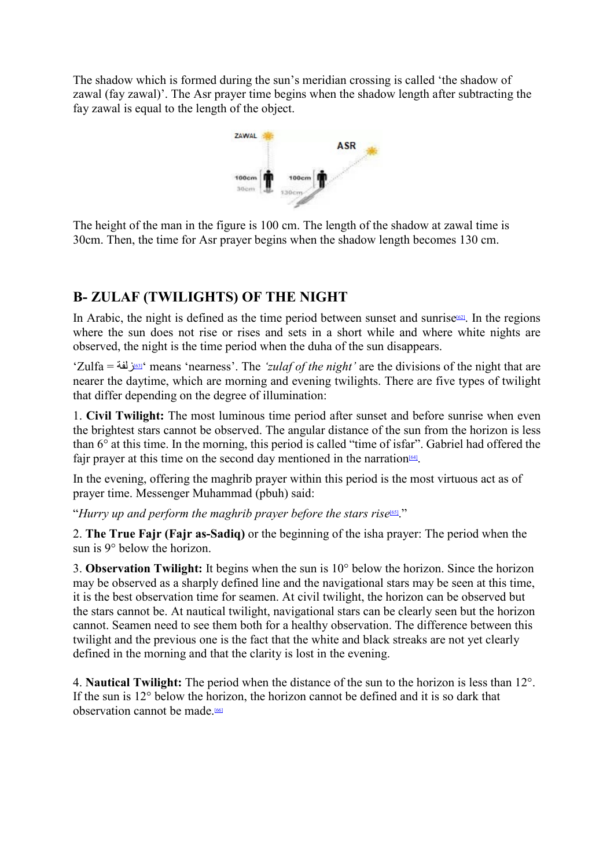The shadow which is formed during the sun's meridian crossing is called 'the shadow of zawal (fay zawal)'. The Asr prayer time begins when the shadow length after subtracting the fay zawal is equal to the length of the object.

<span id="page-29-0"></span>

The height of the man in the figure is 100 cm. The length of the shadow at zawal time is 30cm. Then, the time for Asr prayer begins when the shadow length becomes 130 cm.

# **B- ZULAF (TWILIGHTS) OF THE NIGHT**

In Arabic, the night is defined as the time period between sunset and sunrise<sup>[62]</sup>. In the regions where the sun does not rise or rises and sets in a short while and where white nights are observed, the night is the time period when the duha of the sun disappears.

<span id="page-29-1"></span>'Zulfa = زلف[ة](#page-44-0)[\]63](#page-44-0) ['\[](#page-44-0)means 'nearness'. The *'zulaf of the night'* are the divisions of the night that are nearer the daytime, which are morning and evening twilights. There are five types of twilight that differ depending on the degree of illumination:

1. **Civil Twilight:** The most luminous time period after sunset and before sunrise when even the brightest stars cannot be observed. The angular distance of the sun from the horizon is less than 6° at this time. In the morning, this period is called "time of isfar". Gabriel had offered the fajr prayer at this time on the second day mentioned in the narration<sup>[64]</sup>.

<span id="page-29-2"></span>In the evening, offering the maghrib prayer within this period is the most virtuous act as of prayer time. Messenger Muhammad (pbuh) said:

<span id="page-29-3"></span>"*Hurry up and perform the maghrib prayer before the stars rise*<sup>[65]</sup>."

2. **The True Fajr (Fajr as-Sadiq)** or the beginning of the isha prayer: The period when the sun is 9° below the horizon.

3. **Observation Twilight:** It begins when the sun is 10° below the horizon. Since the horizon may be observed as a sharply defined line and the navigational stars may be seen at this time, it is the best observation time for seamen. At civil twilight, the horizon can be observed but the stars cannot be. At nautical twilight, navigational stars can be clearly seen but the horizon cannot. Seamen need to see them both for a healthy observation. The difference between this twilight and the previous one is the fact that the white and black streaks are not yet clearly defined in the morning and that the clarity is lost in the evening.

<span id="page-29-4"></span>4. **Nautical Twilight:** The period when the distance of the sun to the horizon is less than 12°. If the sun is 12° below the horizon, the horizon cannot be defined and it is so dark that observation cannot be made.<sup>[66]</sup>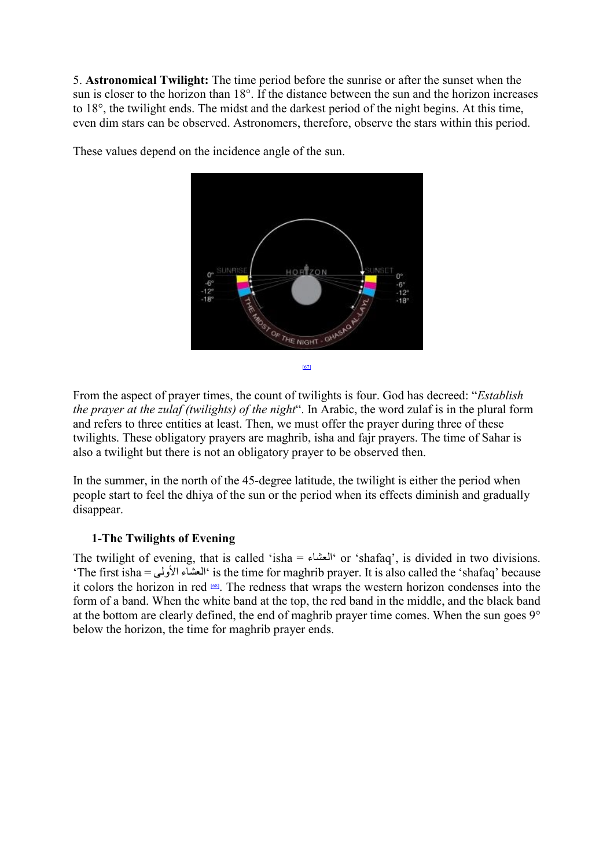5. **Astronomical Twilight:** The time period before the sunrise or after the sunset when the sun is closer to the horizon than 18°. If the distance between the sun and the horizon increases to 18°, the twilight ends. The midst and the darkest period of the night begins. At this time, even dim stars can be observed. Astronomers, therefore, observe the stars within this period.



These values depend on the incidence angle of the sun.

<span id="page-30-0"></span>From the aspect of prayer times, the count of twilights is four. God has decreed: "*Establish the prayer at the zulaf (twilights) of the night*". In Arabic, the word zulaf is in the plural form and refers to three entities at least. Then, we must offer the prayer during three of these twilights. These obligatory prayers are maghrib, isha and fajr prayers. The time of Sahar is also a twilight but there is not an obligatory prayer to be observed then.

In the summer, in the north of the 45-degree latitude, the twilight is either the period when people start to feel the dhiya of the sun or the period when its effects diminish and gradually disappear.

#### <span id="page-30-1"></span>**1-The Twilights of Evening**

The twilight of evening, that is called 'isha = العشاء 'or 'shafaq', is divided in two divisions. 'The first isha = الأولى العشاء 'is the time for maghrib prayer. It is also called the 'shafaq' because it colors the horizon in red [\[68\].](#page-44-5) The redness that wraps the western horizon condenses into the form of a band. When the white band at the top, the red band in the middle, and the black band at the bottom are clearly defined, the end of maghrib prayer time comes. When the sun goes 9° below the horizon, the time for maghrib prayer ends.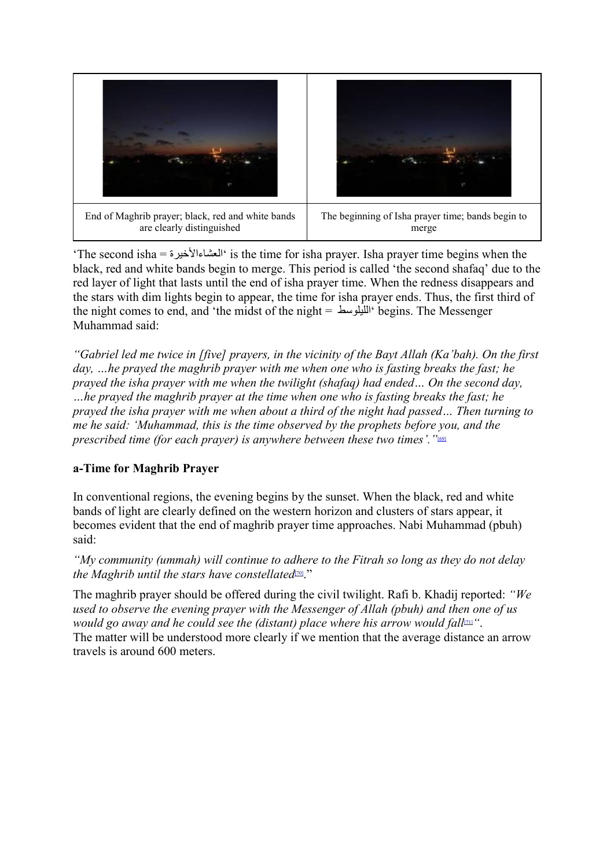

'The second isha = العشاءالأخیرة 'is the time for isha prayer. Isha prayer time begins when the black, red and white bands begin to merge. This period is called 'the second shafaq' due to the red layer of light that lasts until the end of isha prayer time. When the redness disappears and the stars with dim lights begin to appear, the time for isha prayer ends. Thus, the first third of the night comes to end, and 'the midst of the night = اللیلوسط 'begins. The Messenger Muhammad said:

*"Gabriel led me twice in [five] prayers, in the vicinity of the Bayt Allah (Ka'bah). On the first day, …he prayed the maghrib prayer with me when one who is fasting breaks the fast; he prayed the isha prayer with me when the twilight (shafaq) had ended… On the second day, …he prayed the maghrib prayer at the time when one who is fasting breaks the fast; he prayed the isha prayer with me when about a third of the night had passed… Then turning to me he said: 'Muhammad, this is the time observed by the prophets before you, and the prescribed time (for each prayer) is anywhere between these two times'.* "<sup>691</sup>

# <span id="page-31-0"></span>**a-Time for Maghrib Prayer**

In conventional regions, the evening begins by the sunset. When the black, red and white bands of light are clearly defined on the western horizon and clusters of stars appear, it becomes evident that the end of maghrib prayer time approaches. Nabi Muhammad (pbuh) said:

<span id="page-31-1"></span>*"My community (ummah) will continue to adhere to the Fitrah so long as they do not delay the Maghrib until the stars have constellated*<sup>[70]</sup>."

<span id="page-31-2"></span>The maghrib prayer should be offered during the civil twilight. Rafi b. Khadij reported: *"We used to observe the evening prayer with the Messenger of Allah (pbuh) and then one of us would go away and he could see the (distant) place where his arrow would fall*<sup>[11]</sup>. The matter will be understood more clearly if we mention that the average distance an arrow travels is around 600 meters.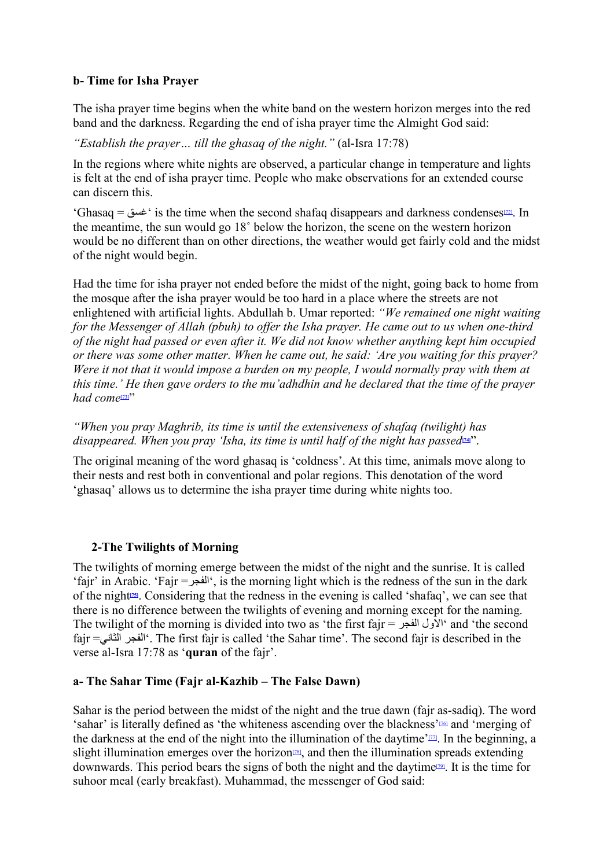#### **b- Time for Isha Prayer**

The isha prayer time begins when the white band on the western horizon merges into the red band and the darkness. Regarding the end of isha prayer time the Almight God said:

*"Establish the prayer… till the ghasaq of the night."* (al-Isra 17:78)

In the regions where white nights are observed, a particular change in temperature and lights is felt at the end of isha prayer time. People who make observations for an extended course can discern this.

<span id="page-32-0"></span>'Ghasaq = غسق 'is the time when the second shafaq disappears and darkness condense[s\[72\].](#page-44-9) In the meantime, the sun would go 18˚ below the horizon, the scene on the western horizon would be no different than on other directions, the weather would get fairly cold and the midst of the night would begin.

Had the time for isha prayer not ended before the midst of the night, going back to home from the mosque after the isha prayer would be too hard in a place where the streets are not enlightened with artificial lights. Abdullah b. Umar reported: *"We remained one night waiting for the Messenger of Allah (pbuh) to offer the Isha prayer. He came out to us when one-third of the night had passed or even after it. We did not know whether anything kept him occupied or there was some other matter. When he came out, he said: 'Are you waiting for this prayer? Were it not that it would impose a burden on my people, I would normally pray with them at this time.' He then gave orders to the mu'adhdhin and he declared that the time of the prayer*  had come<sup>[\[73\]"](#page-44-10)</sup>

<span id="page-32-1"></span>*"When you pray Maghrib, its time is until the extensiveness of shafaq (twilight) has disappeared. When you pray 'Isha, its time is until half of the night has passed*  $\mathbb{Z}^2$ .

The original meaning of the word ghasaq is 'coldness'. At this time, animals move along to their nests and rest both in conventional and polar regions. This denotation of the word 'ghasaq' allows us to determine the isha prayer time during white nights too.

#### <span id="page-32-3"></span><span id="page-32-2"></span>**2-The Twilights of Morning**

The twilights of morning emerge between the midst of the night and the sunrise. It is called 'fajr' in Arabic. 'Fajr =الفجر', is the morning light which is the redness of the sun in the dark of the night**[\[75\]](#page-44-12)**. Considering that the redness in the evening is called 'shafaq', we can see that there is no difference between the twilights of evening and morning except for the naming. The twilight of the morning is divided into two as 'the first fair  $=$   $\frac{1}{2}$ ' and 'the second' fajr =الثاني الفجر'. The first fajr is called 'the Sahar time'. The second fajr is described in the verse al-Isra 17:78 as '**quran** of the fajr'.

#### **a- The Sahar Time (Fajr al-Kazhib – The False Dawn)**

<span id="page-32-5"></span><span id="page-32-4"></span>Sahar is the period between the midst of the night and the true dawn (fajr as-sadiq). The word 'sahar' is literally defined as 'the whiteness ascending over the blackness['\[76\]](#page-44-13) and 'merging of the darkness at the end of the night into the illumination of the daytime' $\mathbb{Z}$ . In the beginning, a slight illumination emerges over the horizon<sup> $[78]$ </sup>, and then the illumination spreads extending downwards. This period bears the signs of both the night and the daytime<sup>[79]</sup>. It is the time for suhoor meal (early breakfast). Muhammad, the messenger of God said: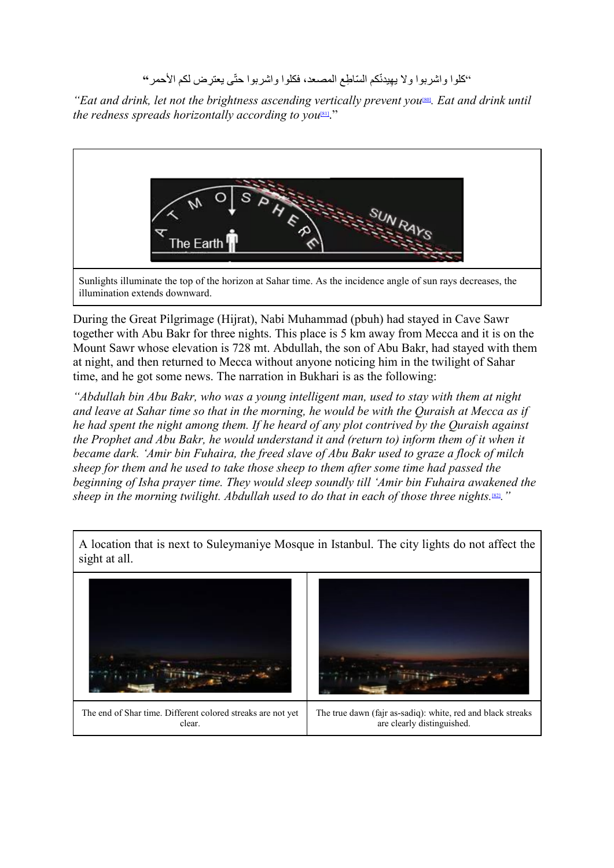#### <span id="page-33-1"></span><span id="page-33-0"></span>֧֖֖֖֖֧֚֚֚֚֚֚֚֚֚֚֚֚֚֚֚֚֝<u>֓</u> ''كلوا واشربوا ولا يهيدنّكم السّاطِع المصعد، فكلوا واشربوا حتّى يعترِض لكم الأحمر **'**'

*"Eat and drink, let not the brightness ascending vertically prevent you<sup>[\[80\]](#page-44-17)</sup>. Eat and drink until the redness spreads horizontally according to you<sup>[81]</sup>.*"



Sunlights illuminate the top of the horizon at Sahar time. As the incidence angle of sun rays decreases, the illumination extends downward.

During the Great Pilgrimage (Hijrat), Nabi Muhammad (pbuh) had stayed in Cave Sawr together with Abu Bakr for three nights. This place is 5 km away from Mecca and it is on the Mount Sawr whose elevation is 728 mt. Abdullah, the son of Abu Bakr, had stayed with them at night, and then returned to Mecca without anyone noticing him in the twilight of Sahar time, and he got some news. The narration in Bukhari is as the following:

*"Abdullah bin Abu Bakr, who was a young intelligent man, used to stay with them at night and leave at Sahar time so that in the morning, he would be with the Quraish at Mecca as if he had spent the night among them. If he heard of any plot contrived by the Quraish against the Prophet and Abu Bakr, he would understand it and (return to) inform them of it when it became dark. 'Amir bin Fuhaira, the freed slave of Abu Bakr used to graze a flock of milch sheep for them and he used to take those sheep to them after some time had passed the beginning of Isha prayer time. They would sleep soundly till 'Amir bin Fuhaira awakened the sheep in the morning twilight. Abdullah used to do that in each of those three nights.*[\[82\]](#page-44-19)*."*



<span id="page-33-2"></span>A location that is next to Suleymaniye Mosque in Istanbul. The city lights do not affect the sight at all.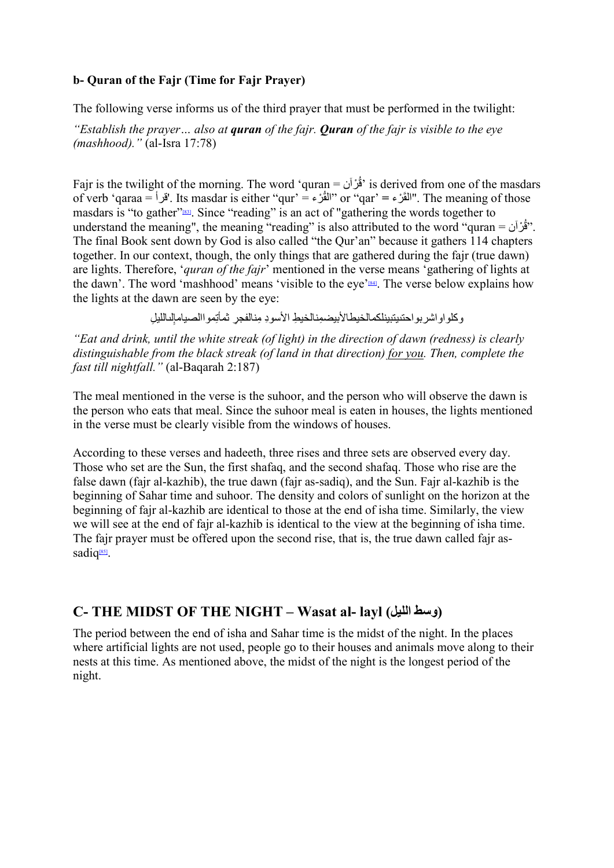#### **b- Quran of the Fajr (Time for Fajr Prayer)**

The following verse informs us of the third prayer that must be performed in the twilight:

*"Establish the prayer… also at quran of the fajr. Quran of the fajr is visible to the eye (mashhood)."* (al-Isra 17:78)

Fajr is the twilight of the morning. The word 'quran = رآنْ ُ ق 'is derived from one of the masdars of verb 'qaraa = 'قرأ'. Its masdar is either "qur' = المُقُرَّء "or "qar' = "القُرَّة". The meaning of those masdars is "to gather["\[83\].](#page-44-20) Since "reading" is an act of "gathering the words together to understand the meaning", the meaning "reading" is also attributed to the word "quran = "قُرْآن". The final Book sent down by God is also called "the Qur'an" because it gathers 114 chapters together. In our context, though, the only things that are gathered during the fajr (true dawn) are lights. Therefore, '*quran of the fajr*' mentioned in the verse means 'gathering of lights at the dawn'. The word 'mashhood' means 'visible to the eye'<sup>[84]</sup>. The verse below explains how the lights at the dawn are seen by the eye:

<span id="page-34-1"></span><span id="page-34-0"></span>وكلواواشربواحتىيتبينلكمالخيطالأبيضمِنالخيطِ الأسودِ مِنالفجرِ ثمأتِمواالصيامإلىالليلِ

*"Eat and drink, until the white streak (of light) in the direction of dawn (redness) is clearly distinguishable from the black streak (of land in that direction) for you. Then, complete the fast till nightfall."* (al-Baqarah 2:187)

The meal mentioned in the verse is the suhoor, and the person who will observe the dawn is the person who eats that meal. Since the suhoor meal is eaten in houses, the lights mentioned in the verse must be clearly visible from the windows of houses.

According to these verses and hadeeth, three rises and three sets are observed every day. Those who set are the Sun, the first shafaq, and the second shafaq. Those who rise are the false dawn (fajr al-kazhib), the true dawn (fajr as-sadiq), and the Sun. Fajr al-kazhib is the beginning of Sahar time and suhoor. The density and colors of sunlight on the horizon at the beginning of fajr al-kazhib are identical to those at the end of isha time. Similarly, the view we will see at the end of fajr al-kazhib is identical to the view at the beginning of isha time. The fajr prayer must be offered upon the second rise, that is, the true dawn called fajr assadiq<sup>[85]</sup>.

# <span id="page-34-2"></span>**C- THE MIDST OF THE NIGHT – Wasat al- layl (اللیل وسط(**

The period between the end of isha and Sahar time is the midst of the night. In the places where artificial lights are not used, people go to their houses and animals move along to their nests at this time. As mentioned above, the midst of the night is the longest period of the night.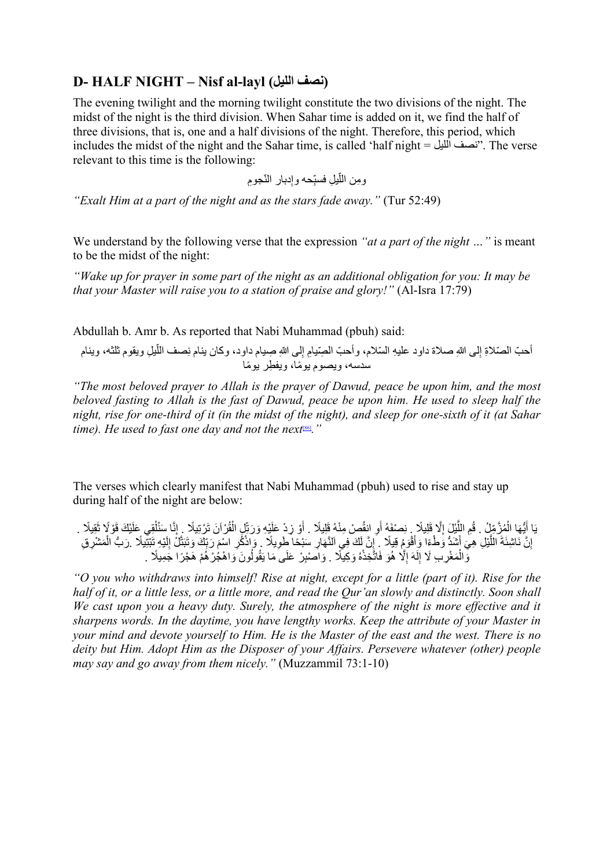# **D- HALF NIGHT – Nisf al-layl (اللیل نصف(**

The evening twilight and the morning twilight constitute the two divisions of the night. The midst of the night is the third division. When Sahar time is added on it, we find the half of three divisions, that is, one and a half divisions of the night. Therefore, this period, which includes the midst of the night and the Sahar time, is called 'half night = اللیل نصف". The verse relevant to this time is the following:

> ومِن اللَّيلِ فسبِّحه وإدبار النَّجومِ ِ ֧֧֧֢ׅ֧֧֧֧֧֧֧֧֧֧֧֧֧֧֧֧֧֧֧֧֧֧֧֧֚֚֡֓֓֓֓֓֓֝֬֓֓֬֓֓֬֓֓֓֓֝֬֓֬֓֓֓֓֓֓֓֜

*"Exalt Him at a part of the night and as the stars fade away."* (Tur 52:49)

We understand by the following verse that the expression *"at a part of the night …"* is meant to be the midst of the night:

*"Wake up for prayer in some part of the night as an additional obligation for you: It may be that your Master will raise you to a station of praise and glory!"* (Al-Isra 17:79)

Abdullah b. Amr b. As reported that Nabi Muhammad (pbuh) said:

ّأحبّ الصّلاةِ إلى اللهِ صلاة داود عليهِ السّلام، وأحبّ الصِّيامِ إلى اللهِ صِيام داود، وكان ينام نِصف اللّيلِ ويقوم ثلثه، وينام ِ سدسه، ویصوم یومًا، ویفطُر یومًا

<span id="page-35-0"></span>*"The most beloved prayer to Allah is the prayer of Dawud, peace be upon him, and the most beloved fasting to Allah is the fast of Dawud, peace be upon him. He used to sleep half the night, rise for one-third of it (in the midst of the night), and sleep for one-sixth of it (at Sahar time). He used to fast one day and not the next<sup>[\[86\]](#page-45-0)</sup>.*"

The verses which clearly manifest that Nabi Muhammad (pbuh) used to rise and stay up during half of the night are below:

يَا أَيُّهَا الْمُزَّمِّلُ . قُمِ اللَّيْلَ إِلَّا قَلِيلًا . نِصْفَهُ أَوِ انقُصْ مِنْهُ قَلِيلًا . أَوْ زِدْ عَلَيْهِ وَرَبِّلِ الْقُرْآنَ تَرْتِيلًا . إِنَّا سَنُلْقِي عَلَيْكَ قَوْلًا نَقِيلًا . ُ ؚ<br>ا ĺ ֖֚֚֚֚֚֚֚֚֚֚֚֚֚֝֝֝֝֝֝֬֝ اً<br>ا إِنَّ نَاشِئَةَ اللَّيْلِ هِيَ أَشَدُّ وَطْءًا وَأَقْوَمٍ قِيلًا ۚ إِنَّ لَكَ فِي اَلنَّهَارِ سَبْحًا طَويلًا ۚ وَإِذْكُرِ اسْمَ رَبِّكَ وَتَبَتَّلْ إِلَيْهِ تَبْتَيلًا ۚ رَبُّ الْمَشْرِقِ .<br>ا َِّل ِ ْ وَّالْمَغْرِبِ لَا إِلَهَ إِلَّا هُوَ فَاتَّخِذْهُ وَكِيلًا . وَاصْبِرْ عَلَى مَا يَقُولُونَ وَاهْجُرْهُمْ هَجْرًا جَمِيلًا . ؚ<br>ا  $\ddot{\phantom{a}}$  $\frac{1}{2}$ 

*"O you who withdraws into himself! Rise at night, except for a little (part of it). Rise for the half of it, or a little less, or a little more, and read the Qur'an slowly and distinctly. Soon shall We cast upon you a heavy duty. Surely, the atmosphere of the night is more effective and it sharpens words. In the daytime, you have lengthy works. Keep the attribute of your Master in your mind and devote yourself to Him. He is the Master of the east and the west. There is no deity but Him. Adopt Him as the Disposer of your Affairs. Persevere whatever (other) people may say and go away from them nicely."* (Muzzammil 73:1-10)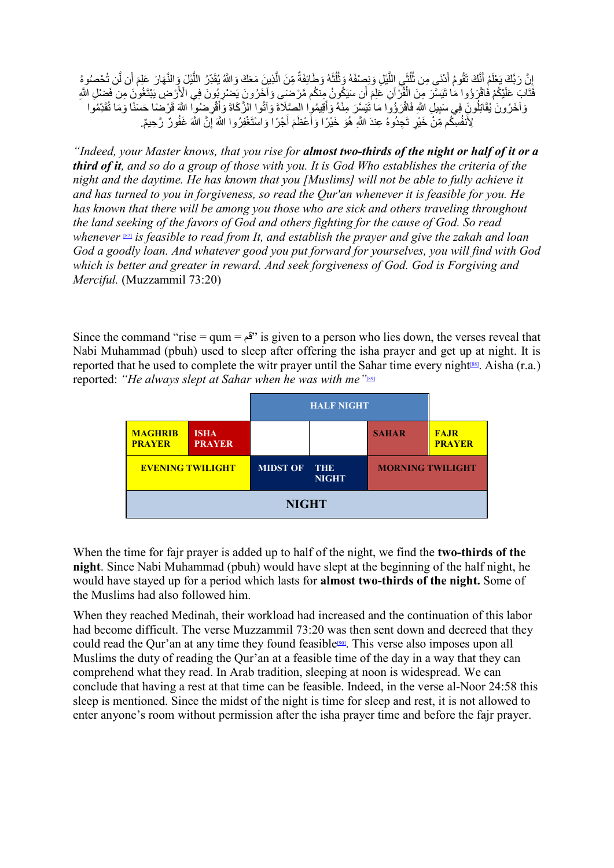إِنَّ رَبَّكَ يَعْلَمُ أَنَّكَ نَقُومُ أَدْنَى مِن ثُلُثَى اللَّيْلِ وَنِصِنْفَهُ وَثُلُثَهُ وَطَائِفَةٌ مِّنَ الَّذِينَ مَعَكَ وَاللَّهُ يُقَدِّرُ اللَّيْلَ وَالنَّهَارَ عَلِمَ أَن لَّن تُحْصُرُهُ<br>إِنَّ رَبَّكَ يَعْلَمُ ِ<br>ا **ृ** ٌاً<br>ا َّ.<br>ا فَثَابَ عَلَيْكُمْ فَاقْرَؤُوا مَا تَيَسَّرَ مِنَ الْفُزْآنِ عَلِمَ أَنِ سَيَكُونُ مِنكُم مَّرْضَـى وَآخَرُونَ يَضْرِبُونَ فِي الْأَرْضِ يَبْتَغُونَ مِن فَضْلِ اللَّهِ<br>جَيَنِيَّنَ مَنْ الْمَرْضَ وَاللَّهُ الْمَرْضَى اللَّ ََ وَآخَرُونَ يُقَاتِلُونَ فِي سَبِيلِ اللَّهِ فَاقْرَؤُوا مَا نَيَسِّرَ مِنْهُ وَأَقِيمُوا الصِّلَاةَ وَآتُوا الزَّكَاةَ وَأَقْرِضُوا اللَّهَ قَرْضِنَا حَسَنًا وَمَا تُقَدِّمُوا  $\frac{1}{2}$ .<br>ا ْ لِأَنفُسِكُم مِّنْ خَيْرٍ تَجِدُوهُ عِندَ اللَّهِ هُوَ خَيْرًا وَأَعْظَمَ أَجْرًا وَاسْنَغْفِرُوا اللَّهَ إِنَّ اللَّهَ غَفُورٌ رَّحِيمٌ. َ

<span id="page-36-0"></span>*"Indeed, your Master knows, that you rise for almost two-thirds of the night or half of it or a third of it, and so do a group of those with you. It is God Who establishes the criteria of the night and the daytime. He has known that you [Muslims] will not be able to fully achieve it and has turned to you in forgiveness, so read the Qur'an whenever it is feasible for you. He has known that there will be among you those who are sick and others traveling throughout the land seeking of the favors of God and others fighting for the cause of God. So read whenever* [\[87\]](#page-45-1) *is feasible to read from It, and establish the prayer and give the zakah and loan God a goodly loan. And whatever good you put forward for yourselves, you will find with God which is better and greater in reward. And seek forgiveness of God. God is Forgiving and Merciful.* (Muzzammil 73:20)

Since the command "rise = qum = قم "is given to a person who lies down, the verses reveal that Nabi Muhammad (pbuh) used to sleep after offering the isha prayer and get up at night. It is reported that he used to complete the witr prayer until the Sahar time every night<sup>[88]</sup>. Aisha (r.a.) reported: *"He always slept at Sahar when he was with me"*[\[89\]](#page-45-3)

<span id="page-36-2"></span><span id="page-36-1"></span>

|                                 |                              | <b>HALF NIGHT</b> |                            |                         |                              |
|---------------------------------|------------------------------|-------------------|----------------------------|-------------------------|------------------------------|
| <b>MAGHRIB</b><br><b>PRAYER</b> | <b>ISHA</b><br><b>PRAYER</b> |                   |                            | <b>SAHAR</b>            | <b>FAJR</b><br><b>PRAYER</b> |
| <b>EVENING TWILIGHT</b>         |                              | <b>MIDST OF</b>   | <b>THE</b><br><b>NIGHT</b> | <b>MORNING TWILIGHT</b> |                              |
| <b>NIGHT</b>                    |                              |                   |                            |                         |                              |

When the time for fajr prayer is added up to half of the night, we find the **two-thirds of the night**. Since Nabi Muhammad (pbuh) would have slept at the beginning of the half night, he would have stayed up for a period which lasts for **almost two-thirds of the night.** Some of the Muslims had also followed him.

<span id="page-36-3"></span>When they reached Medinah, their workload had increased and the continuation of this labor had become difficult. The verse Muzzammil 73:20 was then sent down and decreed that they could read the Qur'an at any time they found feasible<sup>[90]</sup>. This verse also imposes upon all Muslims the duty of reading the Qur'an at a feasible time of the day in a way that they can comprehend what they read. In Arab tradition, sleeping at noon is widespread. We can conclude that having a rest at that time can be feasible. Indeed, in the verse al-Noor 24:58 this sleep is mentioned. Since the midst of the night is time for sleep and rest, it is not allowed to enter anyone's room without permission after the isha prayer time and before the fajr prayer.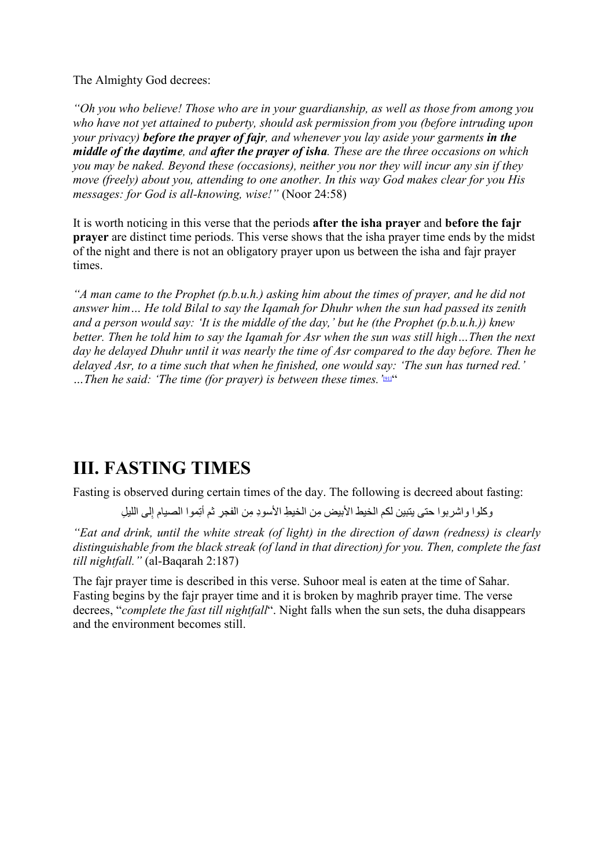The Almighty God decrees:

*"Oh you who believe! Those who are in your guardianship, as well as those from among you who have not yet attained to puberty, should ask permission from you (before intruding upon your privacy) before the prayer of fajr, and whenever you lay aside your garments in the middle of the daytime, and after the prayer of isha. These are the three occasions on which you may be naked. Beyond these (occasions), neither you nor they will incur any sin if they move (freely) about you, attending to one another. In this way God makes clear for you His messages: for God is all-knowing, wise!"* (Noor 24:58)

It is worth noticing in this verse that the periods **after the isha prayer** and **before the fajr prayer** are distinct time periods. This verse shows that the isha prayer time ends by the midst of the night and there is not an obligatory prayer upon us between the isha and fajr prayer times.

*"A man came to the Prophet (p.b.u.h.) asking him about the times of prayer, and he did not answer him… He told Bilal to say the Iqamah for Dhuhr when the sun had passed its zenith and a person would say: 'It is the middle of the day,' but he (the Prophet (p.b.u.h.)) knew better. Then he told him to say the Iqamah for Asr when the sun was still high…Then the next day he delayed Dhuhr until it was nearly the time of Asr compared to the day before. Then he delayed Asr, to a time such that when he finished, one would say: 'The sun has turned red.'*  …Then he said: 'The time (for prayer) is between these times. '<sup>[\[91\]"](#page-45-5)</sup>

# **III. FASTING TIMES**

Fasting is observed during certain times of the day. The following is decreed about fasting:

<span id="page-37-0"></span>وكلوا واشربوا حتى يتبين لكم الخيط الأبيض مِن الخيطِ الأسودِ مِن الفجرِ ثم أتِموا الصبيام إِلى الليلِ

*"Eat and drink, until the white streak (of light) in the direction of dawn (redness) is clearly distinguishable from the black streak (of land in that direction) for you. Then, complete the fast till nightfall."* (al-Baqarah 2:187)

The fajr prayer time is described in this verse. Suhoor meal is eaten at the time of Sahar. Fasting begins by the fajr prayer time and it is broken by maghrib prayer time. The verse decrees, "*complete the fast till nightfall*". Night falls when the sun sets, the duha disappears and the environment becomes still.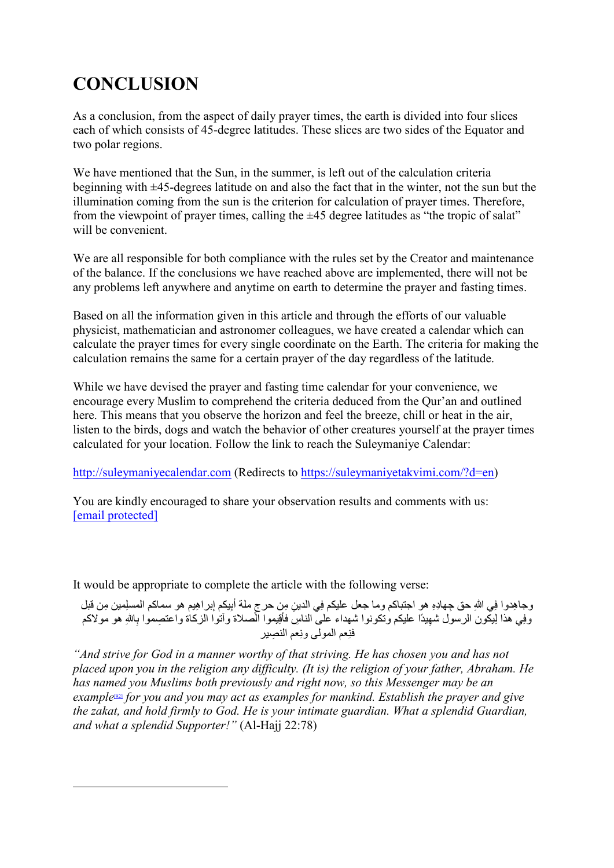# **CONCLUSION**

As a conclusion, from the aspect of daily prayer times, the earth is divided into four slices each of which consists of 45-degree latitudes. These slices are two sides of the Equator and two polar regions.

We have mentioned that the Sun, in the summer, is left out of the calculation criteria beginning with ±45-degrees latitude on and also the fact that in the winter, not the sun but the illumination coming from the sun is the criterion for calculation of prayer times. Therefore, from the viewpoint of prayer times, calling the  $\pm 45$  degree latitudes as "the tropic of salat" will be convenient.

We are all responsible for both compliance with the rules set by the Creator and maintenance of the balance. If the conclusions we have reached above are implemented, there will not be any problems left anywhere and anytime on earth to determine the prayer and fasting times.

Based on all the information given in this article and through the efforts of our valuable physicist, mathematician and astronomer colleagues, we have created a calendar which can calculate the prayer times for every single coordinate on the Earth. The criteria for making the calculation remains the same for a certain prayer of the day regardless of the latitude.

While we have devised the prayer and fasting time calendar for your convenience, we encourage every Muslim to comprehend the criteria deduced from the Qur'an and outlined here. This means that you observe the horizon and feel the breeze, chill or heat in the air, listen to the birds, dogs and watch the behavior of other creatures yourself at the prayer times calculated for your location. Follow the link to reach the Suleymaniye Calendar:

[http://suleymaniyecalendar.com](http://suleymaniyecalendar.com/) (Redirects to [https://suleymaniyetakvimi.com/?d=en\)](https://suleymaniyetakvimi.com/?d=en)

You are kindly encouraged to share your observation results and comments with us: [email protected]

It would be appropriate to complete the article with the following verse:

وجاهِدوا فِي اللهِ حق جِهادِهِ هو اجتباكم وما جعل عليكم فِي الدينِ مِن حرجِ ملة أُبِيكم إبر اهِيم هو سماكم المسلِمين مِن قَبل وفِي هذا لِيكون الرسول شُهِيدًا عليكم وتكونوا شهداء على الناسِ فأقِيموا الصلاة وأتوا الزكاة واعتصِموا بِاللهِ هو مولاكم فنِعم المولىيوزيعم النصِير

<span id="page-38-0"></span>*"And strive for God in a manner worthy of that striving. He has chosen you and has not placed upon you in the religion any difficulty. (It is) the religion of your father, Abraham. He has named you Muslims both previously and right now, so this Messenger may be an example*[\[92\]](#page-45-6) *for you and you may act as examples for mankind. Establish the prayer and give the zakat, and hold firmly to God. He is your intimate guardian. What a splendid Guardian, and what a splendid Supporter!"* (Al-Hajj 22:78)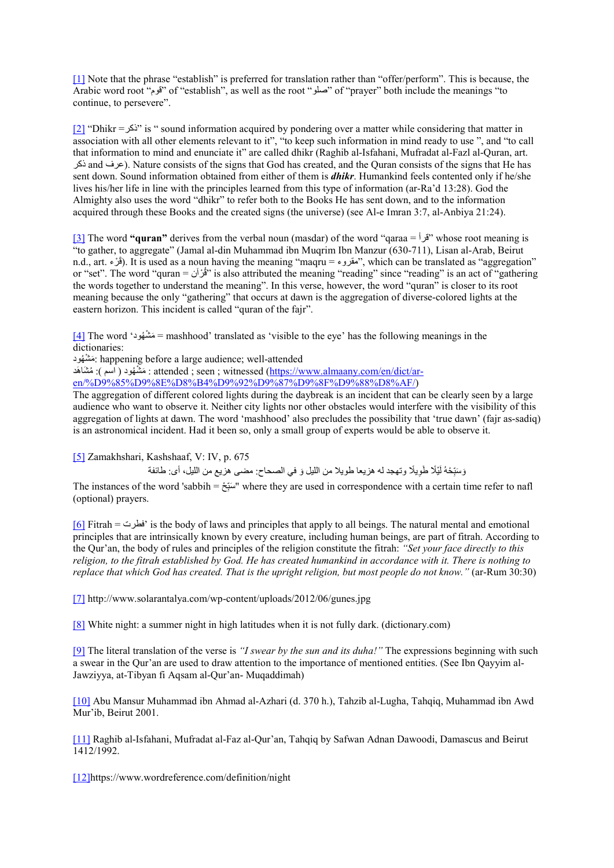<span id="page-39-0"></span>[\[1\]](#page-1-0) Note that the phrase "establish" is preferred for translation rather than "offer/perform". This is because, the Arabic word root "قوم "of "establish", as well as the root "صلو "of "prayer" both include the meanings "to continue, to persevere".

<span id="page-39-1"></span> $[2]$  "Dhikr = "is " sound information acquired by pondering over a matter while considering that matter in association with all other elements relevant to it", "to keep such information in mind ready to use ", and "to call that information to mind and enunciate it" are called dhikr (Raghib al-Isfahani, Mufradat al-Fazl al-Quran, art. ذكر and عرف(. Nature consists of the signs that God has created, and the Quran consists of the signs that He has sent down. Sound information obtained from either of them is *dhikr*. Humankind feels contented only if he/she lives his/her life in line with the principles learned from this type of information (ar-Ra'd 13:28). God the Almighty also uses the word "dhikr" to refer both to the Books He has sent down, and to the information acquired through these Books and the created signs (the universe) (see Al-e Imran 3:7, al-Anbiya 21:24).

<span id="page-39-2"></span>[\[3\]](#page-1-1) The word **"quran"** derives from the verbal noun (masdar) of the word "qaraa = قرأ "whose root meaning is "to gather, to aggregate" (Jamal al-din Muhammad ibn Muqrim Ibn Manzur (630-711), Lisan al-Arab, Beirut n.d., art. قُرْء). It is used as a noun having the meaning "maqru = مقروء", which can be translated as "aggregation" or "set". The word "quran = "قُرْآن" is also attributed the meaning "reading" since "reading" is an act of "gathering the words together to understand the meaning". In this verse, however, the word "quran" is closer to its root meaning because the only "gathering" that occurs at dawn is the aggregation of diverse-colored lights at the eastern horizon. This incident is called "quran of the fajr".

[\[4\]](#page-1-0) The word 'ھودُ شْ مَ = mashhood' translated as 'visible to the eye' has the following meanings in the dictionaries:

ھودُ شْ مَ : happening before a large audience; well-attended

ا مَشْهُود ( اسم ): مُشَاهَد : attended ; seen ; witnessed (<u>https://www.almaany.com/en/dict/ar-</u> [en/%D9%85%D9%8E%D8%B4%D9%92%D9%87%D9%8F%D9%88%D8%AF/\)](https://www.almaany.com/en/dict/ar-en/%D9%85%D9%8E%D8%B4%D9%92%D9%87%D9%8F%D9%88%D8%AF/)

The aggregation of different colored lights during the daybreak is an incident that can be clearly seen by a large audience who want to observe it. Neither city lights nor other obstacles would interfere with the visibility of this aggregation of lights at dawn. The word 'mashhood' also precludes the possibility that 'true dawn' (fajr as-sadiq) is an astronomical incident. Had it been so, only a small group of experts would be able to observe it.

<span id="page-39-3"></span>[\[5\]](#page-1-0) Zamakhshari, Kashshaaf, V: IV, p. 675

رَسَبِّحُهُ لَيْلًا طَوِيلًا وتهجد له هزيعا طويلا من الليل وَ في الصحاح: مضـى هزيع من الليل، أى: طائفة ِ

The instances of the word 'sabbih = سَبَعْ " where they are used in correspondence with a certain time refer to nafl ِ (optional) prayers.

<span id="page-39-4"></span>[\[6\]](#page-1-2) Fitrah = فطرت 'is the body of laws and principles that apply to all beings. The natural mental and emotional principles that are intrinsically known by every creature, including human beings, are part of fitrah. According to the Qur'an, the body of rules and principles of the religion constitute the fitrah: *"Set your face directly to this religion, to the fitrah established by God. He has created humankind in accordance with it. There is nothing to replace that which God has created. That is the upright religion, but most people do not know."* (ar-Rum 30:30)

<span id="page-39-5"></span>[\[7\]](#page-2-0) http://www.solarantalya.com/wp-content/uploads/2012/06/gunes.jpg

<span id="page-39-6"></span>[\[8\]](#page-3-0) White night: a summer night in high latitudes when it is not fully dark. (dictionary.com)

<span id="page-39-7"></span>[\[9\]](#page-3-1) The literal translation of the verse is *"I swear by the sun and its duha!"* The expressions beginning with such a swear in the Qur'an are used to draw attention to the importance of mentioned entities. (See Ibn Qayyim al-Jawziyya, at-Tibyan fi Aqsam al-Qur'an- Muqaddimah)

<span id="page-39-8"></span>[\[10\]](#page-4-0) Abu Mansur Muhammad ibn Ahmad al-Azhari (d. 370 h.), Tahzib al-Lugha, Tahqiq, Muhammad ibn Awd Mur'ib, Beirut 2001.

<span id="page-39-9"></span>[\[11\]](#page-4-1) Raghib al-Isfahani, Mufradat al-Faz al-Qur'an, Tahqiq by Safwan Adnan Dawoodi, Damascus and Beirut 1412/1992.

<span id="page-39-10"></span>[\[12\]h](#page-4-2)ttps://www.wordreference.com/definition/night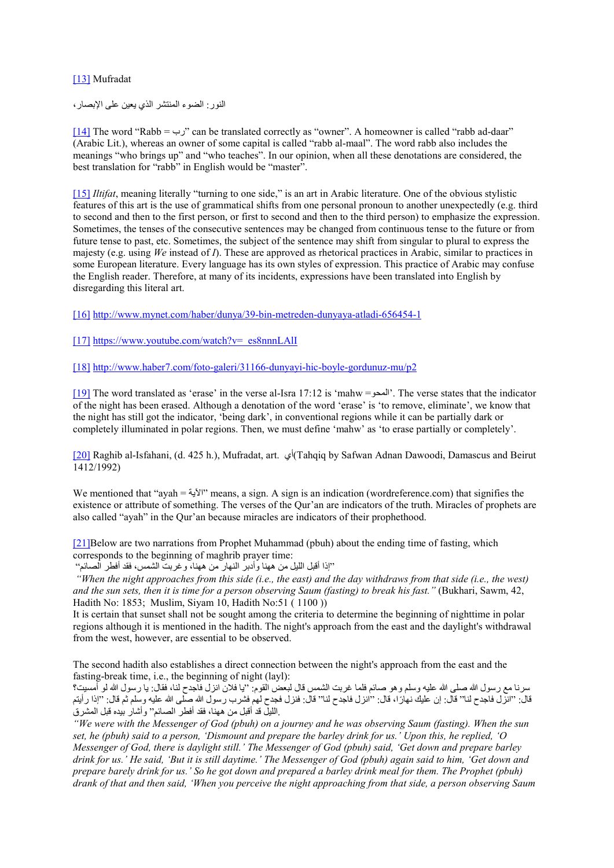#### <span id="page-40-0"></span>[\[13\]](#page-4-3) Mufradat

النور: الضوء المنتشر الذي یعین على الإبصار،

<span id="page-40-1"></span> $[14]$  The word "Rabb =  $\psi$ " can be translated correctly as "owner". A homeowner is called "rabb ad-daar" (Arabic Lit.), whereas an owner of some capital is called "rabb al-maal". The word rabb also includes the meanings "who brings up" and "who teaches". In our opinion, when all these denotations are considered, the best translation for "rabb" in English would be "master".

<span id="page-40-2"></span>[\[15\]](#page-5-1) *Iltifat*, meaning literally "turning to one side," is an art in Arabic literature. One of the obvious stylistic features of this art is the use of grammatical shifts from one personal pronoun to another unexpectedly (e.g. third to second and then to the first person, or first to second and then to the third person) to emphasize the expression. Sometimes, the tenses of the consecutive sentences may be changed from continuous tense to the future or from future tense to past, etc. Sometimes, the subject of the sentence may shift from singular to plural to express the majesty (e.g. using *We* instead of *I*). These are approved as rhetorical practices in Arabic, similar to practices in some European literature. Every language has its own styles of expression. This practice of Arabic may confuse the English reader. Therefore, at many of its incidents, expressions have been translated into English by disregarding this literal art.

<span id="page-40-3"></span>[\[16\]](#page-6-0) <http://www.mynet.com/haber/dunya/39-bin-metreden-dunyaya-atladi-656454-1>

<span id="page-40-4"></span> $[17]$  https://www.youtube.com/watch?v= es8nnnLAlI

<span id="page-40-5"></span>[\[18\]](#page-6-2) <http://www.haber7.com/foto-galeri/31166-dunyayi-hic-boyle-gordunuz-mu/p2>

<span id="page-40-6"></span>[\[19\]](#page-7-0) The word translated as 'erase' in the verse al-Isra 17:12 is 'mahw =المحو'. The verse states that the indicator of the night has been erased. Although a denotation of the word 'erase' is 'to remove, eliminate', we know that the night has still got the indicator, 'being dark', in conventional regions while it can be partially dark or completely illuminated in polar regions. Then, we must define 'mahw' as 'to erase partially or completely'.

<span id="page-40-7"></span>[\[20\]](#page-7-1) Raghib al-Isfahani, (d. 425 h.), Mufradat, art. أي)Tahqiq by Safwan Adnan Dawoodi, Damascus and Beirut 1412/1992)

We mentioned that "ayah  $=$   $\frac{1}{2}$ " means, a sign. A sign is an indication (wordreference.com) that signifies the existence or attribute of something. The verses of the Qur'an are indicators of the truth. Miracles of prophets are also called "ayah" in the Qur'an because miracles are indicators of their prophethood.

<span id="page-40-8"></span>[\[21\]B](#page-8-0)elow are two narrations from Prophet Muhammad (pbuh) about the ending time of fasting, which corresponds to the beginning of maghrib prayer time:

"إذا أقبل اللیل من ھھنا وأدبر النھار من ھھنا، وغربت الشمس، فقد أفطر الصائم"

*"When the night approaches from this side (i.e., the east) and the day withdraws from that side (i.e., the west) and the sun sets, then it is time for a person observing Saum (fasting) to break his fast."* (Bukhari, Sawm, 42, Hadith No: 1853; Muslim, Siyam 10, Hadith No: 51  $(1100)$ )

It is certain that sunset shall not be sought among the criteria to determine the beginning of nighttime in polar regions although it is mentioned in the hadith. The night's approach from the east and the daylight's withdrawal from the west, however, are essential to be observed.

The second hadith also establishes a direct connection between the night's approach from the east and the fasting-break time, i.e., the beginning of night (layl):

سرنا مع رسول الله صلى الله علیھ وسلم وھو صائم فلما غربت الشمس قال لبعض القوم: "یا فلان انزل فاجدح لنا، فقال: یا رسول الله لو أمسیت؟ قال: "انزل فاجدح لنا" قال: إن عليك نهارًا، قال: "انزل فاجدح لنا" قال: فنزل فجدح لهم فشرب رسول الله صلى الله عليه وسلم ثم قال: "إذا رأيتم .اللیل قد أقبل من ھھنا، فقد أفطر الصائم" وأشار بیده قبل المشرق

*"We were with the Messenger of God (pbuh) on a journey and he was observing Saum (fasting). When the sun set, he (pbuh) said to a person, 'Dismount and prepare the barley drink for us.' Upon this, he replied, 'O Messenger of God, there is daylight still.' The Messenger of God (pbuh) said, 'Get down and prepare barley drink for us.' He said, 'But it is still daytime.' The Messenger of God (pbuh) again said to him, 'Get down and prepare barely drink for us.' So he got down and prepared a barley drink meal for them. The Prophet (pbuh) drank of that and then said, 'When you perceive the night approaching from that side, a person observing Saum*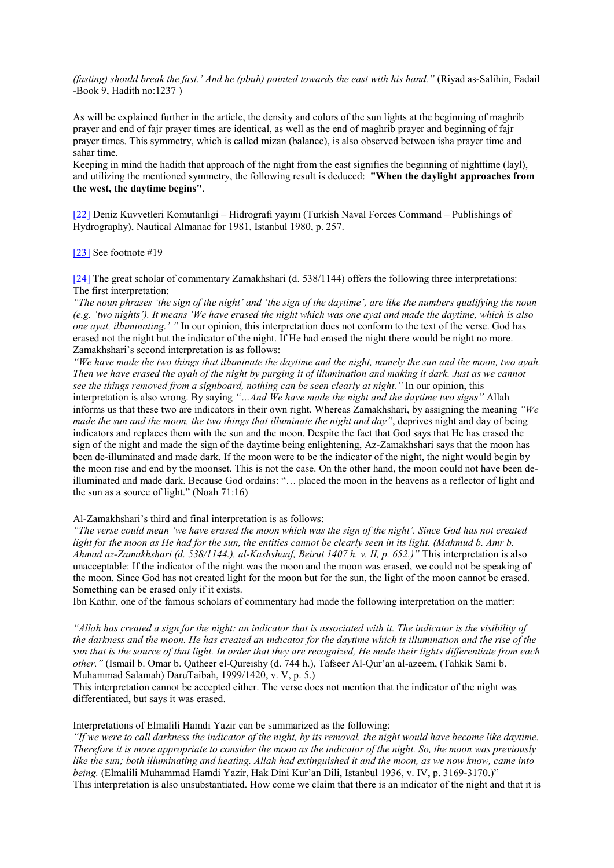*(fasting) should break the fast.' And he (pbuh) pointed towards the east with his hand."* (Riyad as-Salihin, Fadail -Book 9, Hadith no:1237 )

As will be explained further in the article, the density and colors of the sun lights at the beginning of maghrib prayer and end of fajr prayer times are identical, as well as the end of maghrib prayer and beginning of fajr prayer times. This symmetry, which is called mizan (balance), is also observed between isha prayer time and sahar time.

Keeping in mind the hadith that approach of the night from the east signifies the beginning of nighttime (layl), and utilizing the mentioned symmetry, the following result is deduced: **"When the daylight approaches from the west, the daytime begins"**.

<span id="page-41-0"></span>[\[22\]](#page-9-0) Deniz Kuvvetleri Komutanligi – Hidrografi yayını (Turkish Naval Forces Command – Publishings of Hydrography), Nautical Almanac for 1981, Istanbul 1980, p. 257.

<span id="page-41-1"></span>[\[23\]](#page-9-1) See footnote #19

<span id="page-41-2"></span>[\[24\]](#page-9-2) The great scholar of commentary Zamakhshari (d. 538/1144) offers the following three interpretations: The first interpretation:

*"The noun phrases 'the sign of the night' and 'the sign of the daytime', are like the numbers qualifying the noun (e.g. 'two nights'). It means 'We have erased the night which was one ayat and made the daytime, which is also one ayat, illuminating.' "* In our opinion, this interpretation does not conform to the text of the verse. God has erased not the night but the indicator of the night. If He had erased the night there would be night no more. Zamakhshari's second interpretation is as follows:

*"We have made the two things that illuminate the daytime and the night, namely the sun and the moon, two ayah. Then we have erased the ayah of the night by purging it of illumination and making it dark. Just as we cannot see the things removed from a signboard, nothing can be seen clearly at night."* In our opinion, this interpretation is also wrong. By saying *"…And We have made the night and the daytime two signs"* Allah informs us that these two are indicators in their own right. Whereas Zamakhshari, by assigning the meaning *"We made the sun and the moon, the two things that illuminate the night and day"*, deprives night and day of being indicators and replaces them with the sun and the moon. Despite the fact that God says that He has erased the sign of the night and made the sign of the daytime being enlightening, Az-Zamakhshari says that the moon has been de-illuminated and made dark. If the moon were to be the indicator of the night, the night would begin by the moon rise and end by the moonset. This is not the case. On the other hand, the moon could not have been deilluminated and made dark. Because God ordains: "… placed the moon in the heavens as a reflector of light and the sun as a source of light." (Noah 71:16)

Al-Zamakhshari's third and final interpretation is as follows:

*"The verse could mean 'we have erased the moon which was the sign of the night'. Since God has not created light for the moon as He had for the sun, the entities cannot be clearly seen in its light. (Mahmud b. Amr b. Ahmad az-Zamakhshari (d. 538/1144.), al-Kashshaaf, Beirut 1407 h. v. II, p. 652.)"* This interpretation is also unacceptable: If the indicator of the night was the moon and the moon was erased, we could not be speaking of the moon. Since God has not created light for the moon but for the sun, the light of the moon cannot be erased. Something can be erased only if it exists.

Ibn Kathir, one of the famous scholars of commentary had made the following interpretation on the matter:

*"Allah has created a sign for the night: an indicator that is associated with it. The indicator is the visibility of the darkness and the moon. He has created an indicator for the daytime which is illumination and the rise of the sun that is the source of that light. In order that they are recognized, He made their lights differentiate from each other."* (Ismail b. Omar b. Qatheer el-Qureishy (d. 744 h.), Tafseer Al-Qur'an al-azeem, (Tahkik Sami b. Muhammad Salamah) DaruTaibah, 1999/1420, v. V, p. 5.)

This interpretation cannot be accepted either. The verse does not mention that the indicator of the night was differentiated, but says it was erased.

Interpretations of Elmalili Hamdi Yazir can be summarized as the following:

*"If we were to call darkness the indicator of the night, by its removal, the night would have become like daytime. Therefore it is more appropriate to consider the moon as the indicator of the night. So, the moon was previously like the sun; both illuminating and heating. Allah had extinguished it and the moon, as we now know, came into being.* (Elmalili Muhammad Hamdi Yazir, Hak Dini Kur'an Dili, Istanbul 1936, v. IV, p. 3169-3170.)" This interpretation is also unsubstantiated. How come we claim that there is an indicator of the night and that it is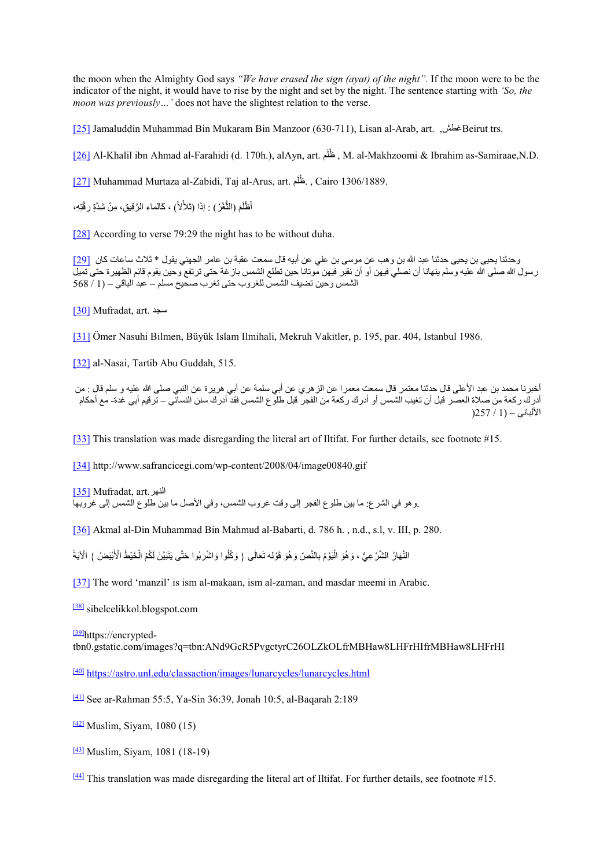the moon when the Almighty God says *"We have erased the sign (ayat) of the night".* If the moon were to be the indicator of the night, it would have to rise by the night and set by the night. The sentence starting with *'So, the moon was previously…'* does not have the slightest relation to the verse.

<span id="page-42-0"></span>[\[25\]](#page-10-0) Jamaluddin Muhammad Bin Mukaram Bin Manzoor (630-711), Lisan al-Arab, art. ,غطشBeirut trs.

<span id="page-42-1"></span>[\[26\]](#page-10-1) Al-Khalil ibn Ahmad al-Farahidi (d. 170h.), alAyn, art. مَ ظلْ , M. al-Makhzoomi & Ibrahim as-Samiraae,N.D.

<span id="page-42-2"></span>[\[27\]](#page-11-0) Muhammad Murtaza al-Zabidi, Taj al-Arus, art. خُلُم , Cairo 1306/1889.

أَظْلَمَ (الثَّغْرُ) : إذَا (تَلأْلاً) ، كَالماءِ الرَّقِيقِ، مِنْ شِدَّةِ رِقَّتِهِ،

<span id="page-42-3"></span>[\[28\]](#page-11-1) According to verse 79:29 the night has to be without duha.

<span id="page-42-4"></span>وحدثنا یحیى بن یحیى حدثنا عبد الله بن وھب عن موسى بن علي عن أبیھ قال سمعت عقبة بن عامر الجھني یقول \* ثلاث ساعات كان [\[29\]](#page-11-2) رسول الله صلى الله علیھ وسلم ینھانا أن نصلي فیھن أو أن نقبر فیھن موتانا حین تطلع الشمس بازغة حتى ترتفع وحین یقوم قائم الظھیرة حتى تمیل الشمس وحین تضیف الشمس للغروب حتى تغرب صحیح مسلم – عبد الباقي – (1 / 568

<span id="page-42-5"></span>[\[30\]](#page-11-3) Mufradat, art. سجد

<span id="page-42-6"></span>[\[31\]](#page-11-4) Ömer Nasuhi Bilmen, Büyük Islam Ilmihali, Mekruh Vakitler, p. 195, par. 404, Istanbul 1986.

<span id="page-42-7"></span>[\[32\]](#page-12-0) al-Nasai, Tartib Abu Guddah, 515.

أخبرنا محمد بن عبد الأعلى قال حدثنا معتمر قال سمعت معمرا عن الزھري عن أبي سلمة عن أبي ھریرة عن النبي صلى الله علیھ و سلم قال : من أدرك ركعة من صلاة العصر قبل أن تغیب الشمس أو أدرك ركعة من الفجر قبل طلوع الشمس فقد أدرك سنن النسائي – ترقیم أبي غدة- مع أحكام الألباني – (1 / 257(

<span id="page-42-8"></span>[\[33\]](#page-13-0) This translation was made disregarding the literal art of Iltifat. For further details, see footnote #15.

<span id="page-42-10"></span><span id="page-42-9"></span>[\[34\]](#page-14-0) http://www.safrancicegi.com/wp-content/2008/04/image00840.gif

[\[35\]](#page-14-1) Mufradat, art.النھر .وھو في الشرع: ما بین طلوع الفجر إلى وقت غروب الشمس، وفي الأصل ما بین طلوع الشمس إلى غروبھا

<span id="page-42-11"></span>[\[36\]](#page-15-0) Akmal al-Din Muhammad Bin Mahmud al-Babarti, d. 786 h. , n.d., s.l, v. III, p. 280.

النَّهَارُ الشَّرْعِيُّ ، وَهُوَ الْيَوْمُ بِالنَّصِّ وَهُوَ قَوْله تَعَالَى { وَكُلُوا وَاشْرَبُوا حَتَّى يَتَبَيَّنَ لَكُمْ الْخَيْطُ الْأَبْيَضُ } الْآيَةَ ََُّ

<span id="page-42-12"></span>[\[37\]](#page-15-1) The word 'manzil' is ism al-makaan, ism al-zaman, and masdar meemi in Arabic.

<span id="page-42-13"></span>[\[38\]](#page-16-0) sibelcelikkol.blogspot.com

<span id="page-42-14"></span>[39] https://encryptedtbn0.gstatic.com/images?q=tbn:ANd9GcR5PvgctyrC26OLZkOLfrMBHaw8LHFrHIfrMBHaw8LHFrHI

<span id="page-42-15"></span>[\[40\]](#page-17-0) <https://astro.unl.edu/classaction/images/lunarcycles/lunarcycles.html>

<span id="page-42-16"></span>[\[41\]](#page-17-1) See ar-Rahman 55:5, Ya-Sin 36:39, Jonah 10:5, al-Baqarah 2:189

<span id="page-42-17"></span> $\frac{[42]}{[42]}$  $\frac{[42]}{[42]}$  $\frac{[42]}{[42]}$  Muslim, Siyam, 1080 (15)

<span id="page-42-18"></span>[\[43\]](#page-17-3) Muslim, Siyam, 1081 (18-19)

<span id="page-42-19"></span>[\[44\]](#page-18-0) This translation was made disregarding the literal art of Iltifat. For further details, see footnote #15.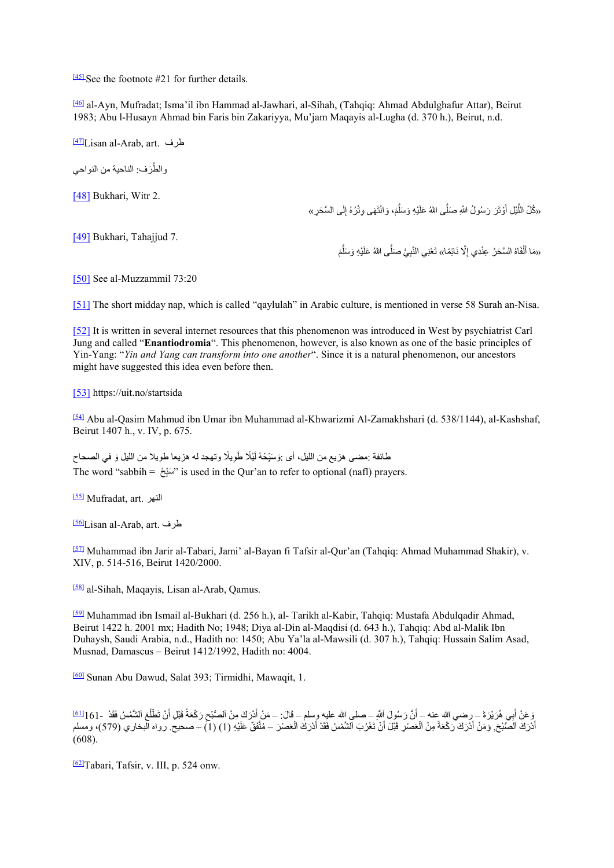<span id="page-43-0"></span> $\frac{[45]}{[45]}$  $\frac{[45]}{[45]}$  $\frac{[45]}{[45]}$  See the footnote #21 for further details.

<span id="page-43-1"></span>[\[46\]](#page-20-0) al-Ayn, Mufradat; Isma'il ibn Hammad al-Jawhari, al-Sihah, (Tahqiq: Ahmad Abdulghafur Attar), Beirut 1983; Abu l-Husayn Ahmad bin Faris bin Zakariyya, Mu'jam Maqayis al-Lugha (d. 370 h.), Beirut, n.d.

<span id="page-43-2"></span>[\[47\]L](#page-21-0)isan al-Arab, art. طرف

والطَّرَف: الناحیة من النواحي

<span id="page-43-3"></span>[\[48\]](#page-22-0) Bukhari, Witr 2.

«كُلَّ اللَّيْلِ أَوْتَرَ رَسُولُ اللَّهِ صَلَّى اللهُ عَلَيْهِ وَسَلَّمَ، وَانْتَهَى وِتْرُهُ إِلَى السَّحَرِ» ا<br>ا َّ **َ** 

<span id="page-43-4"></span>[\[49\]](#page-22-1) Bukhari, Tahajjud 7.

«مَا أَلْفَاهُ السَّحَرُ عِنْدِي إِلَّا نَائِمًا» تَعْنِي النَّبِيَّ صَلَّى اللهُ عَلَيْهِ وَسَلَّمَ َّ َْ

<span id="page-43-5"></span>[\[50\]](#page-23-0) See al-Muzzammil 73:20

<span id="page-43-6"></span>[\[51\]](#page-24-0) The short midday nap, which is called "qaylulah" in Arabic culture, is mentioned in verse 58 Surah an-Nisa.

<span id="page-43-7"></span>[\[52\]](#page-24-1) It is written in several internet resources that this phenomenon was introduced in West by psychiatrist Carl Jung and called "**Enantiodromia**". This phenomenon, however, is also known as one of the basic principles of Yin-Yang: "*Yin and Yang can transform into one another*". Since it is a natural phenomenon, our ancestors might have suggested this idea even before then.

<span id="page-43-8"></span>[\[53\]](#page-25-0) https://uit.no/startsida

<span id="page-43-9"></span>[\[54\]](#page-27-0) Abu al-Qasim Mahmud ibn Umar ibn Muhammad al-Khwarizmi Al-Zamakhshari (d. 538/1144), al-Kashshaf, Beirut 1407 h., v. IV, p. 675.

طائفة :مضـي هزيـع من الليل، أي :وَسَبِّحْهُ لَيْلًا طَوِيلًا وتـهجد لـه هزيعا طويلا من الليل وَ في الصـحاح ِ The word "sabbih = "سبَغ" is used in the Qur'an to refer to optional (nafl) prayers. ِ

<span id="page-43-10"></span>[\[55\]](#page-27-1) Mufradat, art. النھر

<span id="page-43-11"></span>[\[56\]L](#page-27-2)isan al-Arab, art. طرف

<span id="page-43-12"></span>[\[57\]](#page-28-0) Muhammad ibn Jarir al-Tabari, Jami' al-Bayan fi Tafsir al-Qur'an (Tahqiq: Ahmad Muhammad Shakir), v. XIV, p. 514-516, Beirut 1420/2000.

<span id="page-43-13"></span>[\[58\]](#page-28-1) al-Sihah, Maqayis, Lisan al-Arab, Qamus.

<span id="page-43-14"></span>[\[59\]](#page-28-2) Muhammad ibn Ismail al-Bukhari (d. 256 h.), al- Tarikh al-Kabir, Tahqiq: Mustafa Abdulqadir Ahmad, Beirut 1422 h. 2001 mx; Hadith No; 1948; Diya al-Din al-Maqdisi (d. 643 h.), Tahqiq: Abd al-Malik Ibn Duhaysh, Saudi Arabia, n.d., Hadith no: 1450; Abu Ya'la al-Mawsili (d. 307 h.), Tahqiq: Hussain Salim Asad, Musnad, Damascus – Beirut 1412/1992, Hadith no: 4004.

<span id="page-43-16"></span><span id="page-43-15"></span>[\[60\]](#page-28-3) Sunan Abu Dawud, Salat 393; Tirmidhi, Mawaqit, 1.

سِ هُرَيْرَةَ – رضي الله عنه – أَنَّ رَسُولَ اللَّهِ – صلى الله عليه وسلم – قَالَ: – مَنْ أَدْرَكَ مِنْ اَلصُّبْحِ رَكْعَةً قَبْلِ أَنْ تَطْلُعَ اَلشَّمْسُ فَقَدْ –[1](#page-28-4)61ه<mark>ا</mark><br>وَهُوَ يَسُوءُ أَن[ْ](#page-28-4)هُ بِيَّةٍ عَمْرَةً وَ يَوْتُو ؚ<br>ا وَ عَنْ أَبِي هُرَيْرَةَ – رضـي الله عنه – أنَّ رَسُولَ اَللَّهِ – صلى الله عليه وسلم – قَالَ: – مَنْ أَدْرَكَ مِنْ اَلصُّبْحِ رَكْعَةَ قَبْلِ أَنْ تَطْلَعَ اَلشَّمْسُ فَقَدْ -161[<u>ا<sup>6]</mark></mark><br>أدْرَكَ اَلصُّبْحَ, وَمَنْ أَدْر</u></sup> َل ً**ٔ** َل (608).

<span id="page-43-17"></span>[\[62\]T](#page-29-0)abari, Tafsir, v. III, p. 524 onw.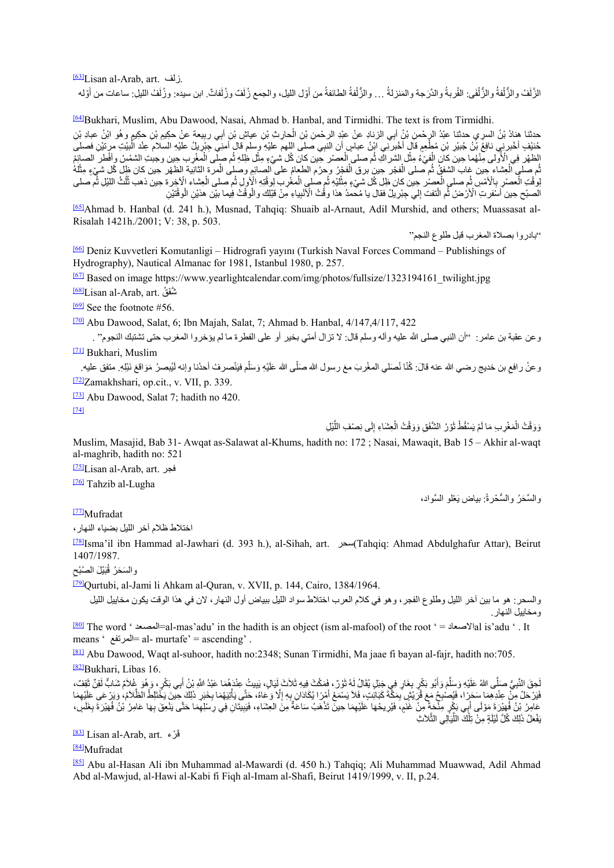<span id="page-44-0"></span>[\[63\]L](#page-29-1)isan al-Arab, art. زلف.

الزَّلَفُ والزُّلْفَى: القُربةُ والدَّرَجة والمَنزلةُ ... والزُّلْفةُ الطائفةُ من أوّل الليل، والجمع زُلَفٌ وزُلَفاتٌ. ابن سيده: وزُلَفُ الليلِ: ساعات من أوّله َ.<br>و َؘ<br>ا ا<br>ا

<span id="page-44-1"></span>[\[64\]B](#page-29-2)ukhari, Muslim, Abu Dawood, Nasai, Ahmad b. Hanbal, and Tirmidhi. The text is from Tirmidhi.

حدثنا هنادُ بْنُ السريِ حدثنا عبْدُ الرحْمنِ بْنُ أَبِي الزنادِ عنْ عبْدِ الرحْمن بْنِ الحارثِ بْنِ عياشٍ بْنِ أَبِي ربِيعةٍ عنْ حكِيمٍ بْنِ حكِيمٍ وهُو ابْنُ عبادِ بْنِ ا<br>ا حُنيْفٍ أخْبرنِي نافِعُ بْنُ جُبيْر بْنِ مُطْعِمِ قَالٍ أخْبرنِي ابْنُ عباسٍ أن النبِي صلى اللهم عليْهِ وسلم قال أمنِي حِبْريا ُ عليْهِ السلام عِنْد الْبيئتِ مرتيْنِ فصلى ْ֦֧֧֧֓֓<u>֖֚֓</u>֚֓ الظهر فِي الْأُولى مِّنْهُما حِين كان الْفيْءُ مِثْل الشر اكِ ثُم صلى العصر حِين كان كُل شيءٍ مِثْل ظِلهِ ثُم صلّى الْمغْرِب حِين وجبتِ الشمْسُ وافْطر الصائِمُ ا<br>ا ا<br>ا ؚْ<br>ا .<br>ا ْ**ٔ** نُم صلى الْعِشاء حِين غاب الشفقُ ثُم صلى الْفجْر حِين برق الْفجْرُ وحرُم الطعامُ على الصائعِ وصلى الْمرة الثانية الظهر حِين كان ظلّ كُل شيءٍ مِثْلُهُ ْا<br>ا ֡֡**֡** ֡֡<u>֡</u> ْ وَقْتِ الْعصْرِ بِالْأُمْسِ ثُم صلى الْعصْر حِين كان ظِل كُل شيءٍ مِثْليْهِ ثُم صلى الْمغْرب لِوقْتِهِ الْإُولِ ثُم صلى الْعِشاء الْآخِرة حِين ذهب ثُلُثُ اللَّيْلِ ثُم صلى ؚ<br>ا اً<br>ا **ٔ** ֦֧֧֟֓<u>֖֚</u> الصنح حِين أسفرتِ الْأَرْضُ ثُم الْنَفت إلى جِبْرِيلُ فقال يا مُحمدُ هذا وقْتُ الْأَنْبِياءِ مِنْ قَبْلِك والْوقْتُ فِيما بيْن هذيْنِ الْوقْتَيْنِ ֧֦֧֦֧֦֦֧֦֧֝<u>֚֓</u>֚֓

<span id="page-44-2"></span>[\[65\]A](#page-29-3)hmad b. Hanbal (d. 241 h.), Musnad, Tahqiq: Shuaib al-Arnaut, Adil Murshid, and others; Muassasat al-Risalah 1421h./2001; V: 38, p. 503.

"بادروا بصلاة المغرب قبل طلوع النجم"

والسَّحَرُ والسُّحْرةُ: بياض يَعْلُو السَّواد،

<span id="page-44-3"></span>[\[66\]](#page-29-4) Deniz Kuvvetleri Komutanligi – Hidrografi yayını (Turkish Naval Forces Command – Publishings of Hydrography), Nautical Almanac for 1981, Istanbul 1980, p. 257.

<span id="page-44-4"></span><sup>[\[67\]](#page-30-0)</sup> Based on image https://www.yearlightcalendar.com/img/photos/fullsize/1323194161\_twilight.jpg

<span id="page-44-5"></span>شَّفَقُ Lisan al-Arab, art. تَسْفَقُ

<span id="page-44-6"></span> $\frac{[69]}{[69]}$  $\frac{[69]}{[69]}$  $\frac{[69]}{[69]}$  See the footnote #56.

<span id="page-44-7"></span>[\[70\]](#page-31-1) Abu Dawood, Salat, 6; Ibn Majah, Salat, 7; Ahmad b. Hanbal, 4/147,4/117, 422

وعن عقبة بن عامر: "أن النبي صلى الله علیه وآله وسلم قال: لا تزال أمتي بخیر أو على الفطرة ما لم یؤخروا المغرب حتى تشتبك النجوم" . [\[71\]](#page-31-2) Bukhari, Muslim

<span id="page-44-8"></span>

<span id="page-44-9"></span>وعنْ رافعِ بن خديج رضـي الله عنه قالَ: كُنّا نُصَلّي المغْربَ معَ رسول الله صَلّى الله عَلَيْهِ وَسَلّم فيَنْصرفُ أحدُنا وإنـه لَيُبصـرُ مَوَاقعَ نَبْلِهِ. متفق عليه. ֖֖֖֖֖֖֖֖֖֚֚֚֚֚֚֚֚֚֚֚֚֚֡֬<br>֧֢ׅ֖֧֚<u>֚</u> ֖֖֖֖֖֖֖֖֖֖֖ׅ֖֚֚֚֚֚֚֚֚֚֚֚֚֚֚֡֬<u>֚</u> [\[72\]Z](#page-32-0)amakhshari, op.cit., v. VII, p. 339.

<span id="page-44-10"></span>[\[73\]](#page-32-1) Abu Dawood, Salat 7; hadith no 420.

<span id="page-44-11"></span>[\[74\]](#page-32-2)

َّوَوَقْتُ الْمَغْرِيبِ مَا لَمْ يَسْقُطْ نَوْرُ الشَّفَقِ وَوَقْتُ الْعِشَاءِ إِلَى نِصْفِ اللَّيْلِ ا<br>ا ֡֡**֡** َْ

Muslim, Masajid, Bab 31- Awqat as-Salawat al-Khums, hadith no: 172 ; Nasai, Mawaqit, Bab 15 – Akhir al-waqt al-maghrib, hadith no: 521

<span id="page-44-12"></span>[\[75\]L](#page-32-3)isan al-Arab, art. فجر

<span id="page-44-13"></span>[76] Tahzib al-Lugha

<span id="page-44-14"></span>[77]Mufradat

اختلاط ظلام آخر اللیل بضیاء النھار،

<span id="page-44-15"></span>[\[78\]I](#page-32-4)sma'il ibn Hammad al-Jawhari (d. 393 h.), al-Sihah, art. سحر)Tahqiq: Ahmad Abdulghafur Attar), Beirut 1407/1987.

والسَحَرُ قُبَيْلَ الصُبْحِ

<span id="page-44-16"></span>[\[79\]Q](#page-32-5)urtubi, al-Jami li Ahkam al-Quran, v. XVII, p. 144, Cairo, 1384/1964.

والسحر: ھو ما بین آخر اللیل وطلوع الفجر، وھو في كلام العرب اختلاط سواد اللیل ببیاض أول النھار، لان في ھذا الوقت یكون مخاییل اللیل ومخاییل النھار.

<span id="page-44-17"></span> $\frac{[80]}{2}$  $\frac{[80]}{2}$  $\frac{[80]}{2}$  The word ' المصعدة $\frac{1}{2}$ =al-mas'adu' in the hadith is an object (ism al-mafool) of the root ' = المصعد $\frac{1}{2}$ lal is'adu ' . It means ' المرتفع = al- murtafe' = ascending' .

<span id="page-44-19"></span><span id="page-44-18"></span>[\[81\]](#page-33-1) Abu Dawood, Waqt al-suhoor, hadith no:2348; Sunan Tirmidhi, Ma jaae fi bayan al-fajr, hadith no:705. <sup>[82]</sup>Bukhari, Libas 16.

لِحِقَ النَّبِيُّ صَلَّى اللهُ عَلَيْهِ وَسَلَّمَ وَأَبُو بَكْرٍ بِغَارٍ فِي جَنَلٍ يُقَالُ لَهُ ثَوْرٌ، فَمَكُثَ فِيهِ ثَلاَثَ إِلَيَالٍ، يَبِيتُ عِنْدَهُمَا عَبْدُ اللّهِ بِنُ أَبِي بَكْرٍ، وَهُوَ غُلاَمٌ سَابٌ لَقِنٌ ثَ َ َ ؚ<br>ا فَيَرْحَلُ مِنْ عِنْدِهِمَا سَحَرًا، فَيُصْبِحُ مَعَ فَرَّيْشٍ بِمَكَّةَ كَبَائِتٍ، فَلاَ يَسْمَعُ أَمْرًا يُكَادَان بِهِ إلَّا وَعَاهُ، حَتَّى يَأْتِيَهُمَا بِخَبَرٍ ذَلِكَ حَتَّى عَلَيْهِمَا مِنْ الْمَحْمَلَ وَسَمْعُ أَم **ُ**  $\overline{\phantom{a}}$ ََعَامِرُ بْنُ فُهَيْرَةَ مَوْلَى أَبِي بَكْرٍ مِلْحَةٍ مِنْ غَنَمٍ، فَيُرِيحُهَا عَلَيْهِمَا حِينٌ تَذْهَبُ سَاعَةٌ مِنَ العِشَاءِ، فَيَبِيتَانِ فِي رِسْلِهِمَا حَتَّى يَنْعِقَ بِهَا عَلَيْهِمَا حِينٌ تَذْهَبُ سَاعَةٌ مِنَ ُ֧֖֖֖֖֖֖֖֧֚֚֚֚֚֚֚֚֚֚֚֚֚֚֚֚֚֚֚֚֚֝<u>֟</u> ٌََّالمستقبل المستقبل المستقبل المستقبل المستقبل المستقبل المستقبل المستقبل المستقبل المستقبل المستقبل المستقبل ال<br>المستقبل المستقبل المستقبل المستقبل المستقبل المستقبل المستقبل المستقبل المستقبل المستقبل المستقبل المستقبل ال َبَفْعَلُ ذَلِكَ كُلَّ لَيْلَةٍ مِنْ تِلْكَ اللَّيَالِي الثَّلاَثِ ֡֡**֡** ِل

<span id="page-44-20"></span><u>قَرْ</u>ء .Eisan al-Arab, art

<span id="page-44-21"></span>[\[84\]M](#page-34-1)ufradat

<span id="page-44-22"></span>[\[85\]](#page-34-2) Abu al-Hasan Ali ibn Muhammad al-Mawardi (d. 450 h.) Tahqiq; Ali Muhammad Muawwad, Adil Ahmad Abd al-Mawjud, al-Hawi al-Kabi fi Fiqh al-Imam al-Shafi, Beirut 1419/1999, v. II, p.24.